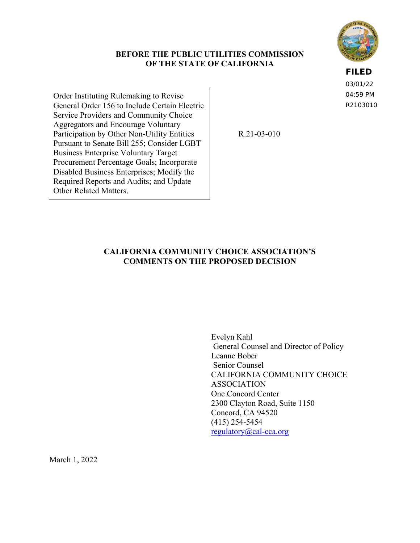# **BEFORE THE PUBLIC UTILITIES COMMISSION OF THE STATE OF CALIFORNIA**

**FILED**

03/01/22 04:59 PM R2103010

Order Instituting Rulemaking to Revise General Order 156 to Include Certain Electric Service Providers and Community Choice Aggregators and Encourage Voluntary Participation by Other Non-Utility Entities Pursuant to Senate Bill 255; Consider LGBT Business Enterprise Voluntary Target Procurement Percentage Goals; Incorporate Disabled Business Enterprises; Modify the Required Reports and Audits; and Update Other Related Matters.

R.21-03-010

# **CALIFORNIA COMMUNITY CHOICE ASSOCIATION'S COMMENTS ON THE PROPOSED DECISION**

Evelyn Kahl General Counsel and Director of Policy Leanne Bober Senior Counsel CALIFORNIA COMMUNITY CHOICE ASSOCIATION One Concord Center 2300 Clayton Road, Suite 1150 Concord, CA 94520 (415) 254-5454 [regulatory@cal-cca.org](mailto:regulatory@cal-cca.org)

March 1, 2022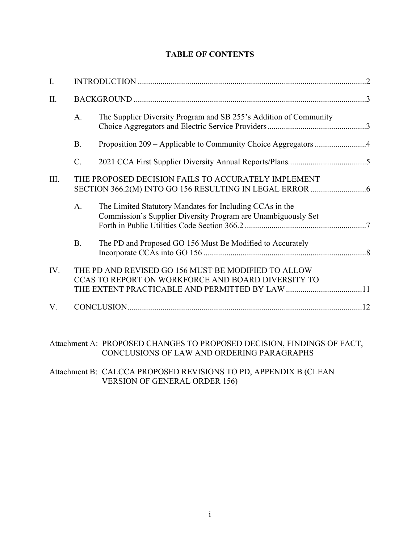| Ι.   |                                                     |                                                                                                                           |  |
|------|-----------------------------------------------------|---------------------------------------------------------------------------------------------------------------------------|--|
| Π.   |                                                     |                                                                                                                           |  |
|      | A.                                                  | The Supplier Diversity Program and SB 255's Addition of Community                                                         |  |
|      | <b>B.</b>                                           | Proposition 209 - Applicable to Community Choice Aggregators 4                                                            |  |
|      | C.                                                  |                                                                                                                           |  |
| III. | THE PROPOSED DECISION FAILS TO ACCURATELY IMPLEMENT |                                                                                                                           |  |
|      | A.                                                  | The Limited Statutory Mandates for Including CCAs in the<br>Commission's Supplier Diversity Program are Unambiguously Set |  |
|      | <b>B.</b>                                           | The PD and Proposed GO 156 Must Be Modified to Accurately                                                                 |  |
| IV.  |                                                     | THE PD AND REVISED GO 156 MUST BE MODIFIED TO ALLOW<br>CCAS TO REPORT ON WORKFORCE AND BOARD DIVERSITY TO                 |  |
| V.   |                                                     |                                                                                                                           |  |
|      |                                                     |                                                                                                                           |  |

# **TABLE OF CONTENTS**

Attachment A: PROPOSED CHANGES TO PROPOSED DECISION, FINDINGS OF FACT, CONCLUSIONS OF LAW AND ORDERING PARAGRAPHS

# Attachment B: CALCCA PROPOSED REVISIONS TO PD, APPENDIX B (CLEAN VERSION OF GENERAL ORDER 156)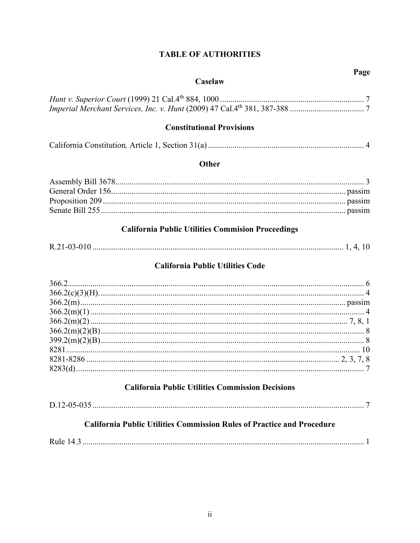# **TABLE OF AUTHORITIES**

#### Caselaw

# **Constitutional Provisions**

|--|--|--|

# Other

# **California Public Utilities Commision Proceedings**

|--|--|--|--|

# **California Public Utilities Code**

# **California Public Utilities Commission Decisions**

|--|

# **California Public Utilities Commission Rules of Practice and Procedure**

|--|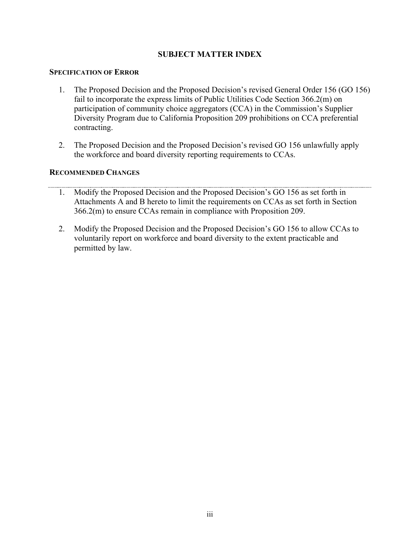# **SUBJECT MATTER INDEX**

### **SPECIFICATION OF ERROR**

- 1. The Proposed Decision and the Proposed Decision's revised General Order 156 (GO 156) fail to incorporate the express limits of Public Utilities Code Section 366.2(m) on participation of community choice aggregators (CCA) in the Commission's Supplier Diversity Program due to California Proposition 209 prohibitions on CCA preferential contracting.
- 2. The Proposed Decision and the Proposed Decision's revised GO 156 unlawfully apply the workforce and board diversity reporting requirements to CCAs.

# **RECOMMENDED CHANGES**

- 1. Modify the Proposed Decision and the Proposed Decision's GO 156 as set forth in Attachments A and B hereto to limit the requirements on CCAs as set forth in Section 366.2(m) to ensure CCAs remain in compliance with Proposition 209.
- 2. Modify the Proposed Decision and the Proposed Decision's GO 156 to allow CCAs to voluntarily report on workforce and board diversity to the extent practicable and permitted by law.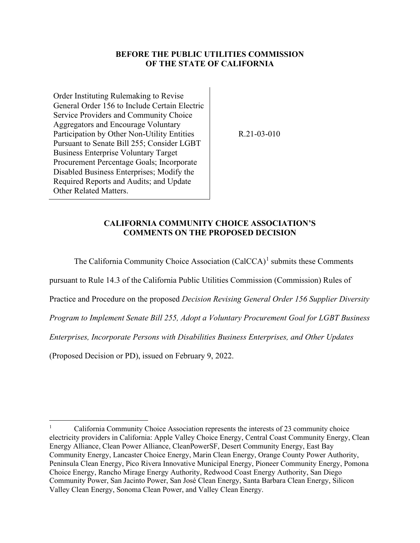# **BEFORE THE PUBLIC UTILITIES COMMISSION OF THE STATE OF CALIFORNIA**

Order Instituting Rulemaking to Revise General Order 156 to Include Certain Electric Service Providers and Community Choice Aggregators and Encourage Voluntary Participation by Other Non-Utility Entities Pursuant to Senate Bill 255; Consider LGBT Business Enterprise Voluntary Target Procurement Percentage Goals; Incorporate Disabled Business Enterprises; Modify the Required Reports and Audits; and Update Other Related Matters.

R.21-03-010

### **CALIFORNIA COMMUNITY CHOICE ASSOCIATION'S COMMENTS ON THE PROPOSED DECISION**

The California Community Choice Association  $(CaICCA)^1$  $(CaICCA)^1$  submits these Comments

pursuant to Rule 14.3 of the California Public Utilities Commission (Commission) Rules of

Practice and Procedure on the proposed *Decision Revising General Order 156 Supplier Diversity* 

*Program to Implement Senate Bill 255, Adopt a Voluntary Procurement Goal for LGBT Business* 

*Enterprises, Incorporate Persons with Disabilities Business Enterprises, and Other Updates*

(Proposed Decision or PD), issued on February 9, 2022.

<span id="page-4-0"></span><sup>1</sup> California Community Choice Association represents the interests of 23 community choice electricity providers in California: Apple Valley Choice Energy, Central Coast Community Energy, Clean Energy Alliance, Clean Power Alliance, CleanPowerSF, Desert Community Energy, East Bay Community Energy, Lancaster Choice Energy, Marin Clean Energy, Orange County Power Authority, Peninsula Clean Energy, Pico Rivera Innovative Municipal Energy, Pioneer Community Energy, Pomona Choice Energy, Rancho Mirage Energy Authority, Redwood Coast Energy Authority, San Diego Community Power, San Jacinto Power, San José Clean Energy, Santa Barbara Clean Energy, Silicon Valley Clean Energy, Sonoma Clean Power, and Valley Clean Energy.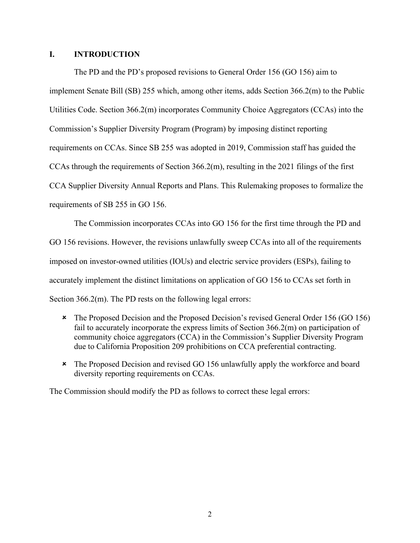### <span id="page-5-0"></span>**I. INTRODUCTION**

The PD and the PD's proposed revisions to General Order 156 (GO 156) aim to implement Senate Bill (SB) 255 which, among other items, adds Section 366.2(m) to the Public Utilities Code. Section 366.2(m) incorporates Community Choice Aggregators (CCAs) into the Commission's Supplier Diversity Program (Program) by imposing distinct reporting requirements on CCAs. Since SB 255 was adopted in 2019, Commission staff has guided the CCAs through the requirements of Section 366.2(m), resulting in the 2021 filings of the first CCA Supplier Diversity Annual Reports and Plans. This Rulemaking proposes to formalize the requirements of SB 255 in GO 156.

The Commission incorporates CCAs into GO 156 for the first time through the PD and GO 156 revisions. However, the revisions unlawfully sweep CCAs into all of the requirements imposed on investor-owned utilities (IOUs) and electric service providers (ESPs), failing to accurately implement the distinct limitations on application of GO 156 to CCAs set forth in Section 366.2(m). The PD rests on the following legal errors:

- The Proposed Decision and the Proposed Decision's revised General Order 156 (GO 156) fail to accurately incorporate the express limits of Section 366.2(m) on participation of community choice aggregators (CCA) in the Commission's Supplier Diversity Program due to California Proposition 209 prohibitions on CCA preferential contracting.
- The Proposed Decision and revised GO 156 unlawfully apply the workforce and board diversity reporting requirements on CCAs.

The Commission should modify the PD as follows to correct these legal errors: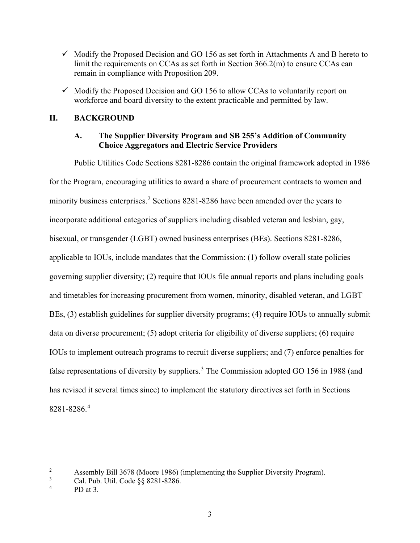- $\checkmark$  Modify the Proposed Decision and GO 156 as set forth in Attachments A and B hereto to limit the requirements on CCAs as set forth in Section 366.2(m) to ensure CCAs can remain in compliance with Proposition 209.
- $\checkmark$  Modify the Proposed Decision and GO 156 to allow CCAs to voluntarily report on workforce and board diversity to the extent practicable and permitted by law.

# <span id="page-6-1"></span><span id="page-6-0"></span>**II. BACKGROUND**

# **A. The Supplier Diversity Program and SB 255's Addition of Community Choice Aggregators and Electric Service Providers**

Public Utilities Code Sections 8281-8286 contain the original framework adopted in 1986 for the Program, encouraging utilities to award a share of procurement contracts to women and minority business enterprises.<sup>[2](#page-6-2)</sup> Sections 8281-8286 have been amended over the years to incorporate additional categories of suppliers including disabled veteran and lesbian, gay, bisexual, or transgender (LGBT) owned business enterprises (BEs). Sections 8281-8286, applicable to IOUs, include mandates that the Commission: (1) follow overall state policies governing supplier diversity; (2) require that IOUs file annual reports and plans including goals and timetables for increasing procurement from women, minority, disabled veteran, and LGBT BEs, (3) establish guidelines for supplier diversity programs; (4) require IOUs to annually submit data on diverse procurement; (5) adopt criteria for eligibility of diverse suppliers; (6) require IOUs to implement outreach programs to recruit diverse suppliers; and (7) enforce penalties for false representations of diversity by suppliers.<sup>[3](#page-6-3)</sup> The Commission adopted GO 156 in 1988 (and has revised it several times since) to implement the statutory directives set forth in Sections 8281-8286.[4](#page-6-4)

<span id="page-6-2"></span><sup>2</sup> Assembly Bill 3678 (Moore 1986) (implementing the Supplier Diversity Program).

<span id="page-6-3"></span><sup>3</sup> Cal. Pub. Util. Code §§ 8281-8286.

<span id="page-6-4"></span><sup>4</sup> PD at 3.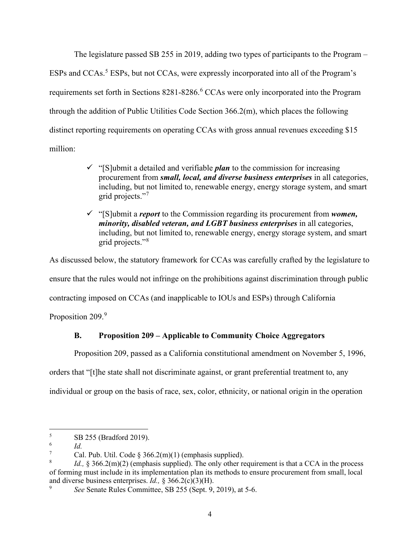The legislature passed SB 255 in 2019, adding two types of participants to the Program  $-$ ESPs and CCAs. [5](#page-7-1) ESPs, but not CCAs, were expressly incorporated into all of the Program's requirements set forth in Sections 8281-828[6](#page-7-2).<sup>6</sup> CCAs were only incorporated into the Program through the addition of Public Utilities Code Section 366.2(m), which places the following distinct reporting requirements on operating CCAs with gross annual revenues exceeding \$15 million:

- $\checkmark$  "[S]ubmit a detailed and verifiable *plan* to the commission for increasing procurement from *small, local, and diverse business enterprises* in all categories, including, but not limited to, renewable energy, energy storage system, and smart grid projects."[7](#page-7-3)
- "[S]ubmit a *report* to the Commission regarding its procurement from *women, minority, disabled veteran, and LGBT business enterprises* in all categories, including, but not limited to, renewable energy, energy storage system, and smart grid projects."[8](#page-7-4)

As discussed below, the statutory framework for CCAs was carefully crafted by the legislature to ensure that the rules would not infringe on the prohibitions against discrimination through public contracting imposed on CCAs (and inapplicable to IOUs and ESPs) through California Proposition 20[9](#page-7-5).<sup>9</sup>

# <span id="page-7-0"></span>**B. Proposition 209 – Applicable to Community Choice Aggregators**

Proposition 209, passed as a California constitutional amendment on November 5, 1996,

orders that "[t]he state shall not discriminate against, or grant preferential treatment to, any

individual or group on the basis of race, sex, color, ethnicity, or national origin in the operation

<span id="page-7-1"></span><sup>5</sup> SB 255 (Bradford 2019).

<span id="page-7-2"></span><sup>6</sup> *Id.* 

<span id="page-7-3"></span><sup>7</sup> Cal. Pub. Util. Code  $\S$  366.2(m)(1) (emphasis supplied).

<span id="page-7-4"></span><sup>8</sup> *Id.,* § 366.2(m)(2) (emphasis supplied). The only other requirement is that a CCA in the process of forming must include in its implementation plan its methods to ensure procurement from small, local and diverse business enterprises. *Id.*,  $\S 366.2(c)(3)(H)$ .

<span id="page-7-5"></span>*See* Senate Rules Committee, SB 255 (Sept. 9, 2019), at 5-6.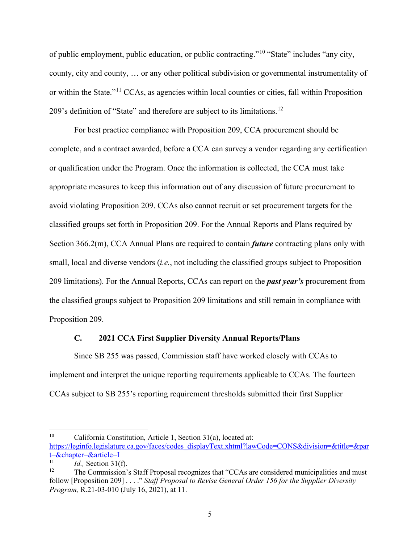of public employment, public education, or public contracting."[10](#page-8-1) "State" includes "any city, county, city and county, … or any other political subdivision or governmental instrumentality of or within the State."[11](#page-8-2) CCAs, as agencies within local counties or cities, fall within Proposition 209's definition of "State" and therefore are subject to its limitations.<sup>[12](#page-8-3)</sup>

For best practice compliance with Proposition 209, CCA procurement should be complete, and a contract awarded, before a CCA can survey a vendor regarding any certification or qualification under the Program. Once the information is collected, the CCA must take appropriate measures to keep this information out of any discussion of future procurement to avoid violating Proposition 209. CCAs also cannot recruit or set procurement targets for the classified groups set forth in Proposition 209. For the Annual Reports and Plans required by Section 366.2(m), CCA Annual Plans are required to contain *future* contracting plans only with small, local and diverse vendors (*i.e.*, not including the classified groups subject to Proposition 209 limitations). For the Annual Reports, CCAs can report on the *past year's* procurement from the classified groups subject to Proposition 209 limitations and still remain in compliance with Proposition 209.

# **C. 2021 CCA First Supplier Diversity Annual Reports/Plans**

<span id="page-8-0"></span>Since SB 255 was passed, Commission staff have worked closely with CCAs to implement and interpret the unique reporting requirements applicable to CCAs. The fourteen CCAs subject to SB 255's reporting requirement thresholds submitted their first Supplier

<span id="page-8-1"></span><sup>10</sup> California Constitution*,* Article 1, Section 31(a), located at: [https://leginfo.legislature.ca.gov/faces/codes\\_displayText.xhtml?lawCode=CONS&division=&title=&par](https://leginfo.legislature.ca.gov/faces/codes_displayText.xhtml?lawCode=CONS&division=&title=&part=&chapter=&article=I)  $t=\&$ chapter= $&$ article=I

<span id="page-8-2"></span>*Id.*, Section 31(f).

<span id="page-8-3"></span><sup>12</sup> The Commission's Staff Proposal recognizes that "CCAs are considered municipalities and must follow [Proposition 209] . . . ." *Staff Proposal to Revise General Order 156 for the Supplier Diversity Program,* R.21-03-010 (July 16, 2021), at 11.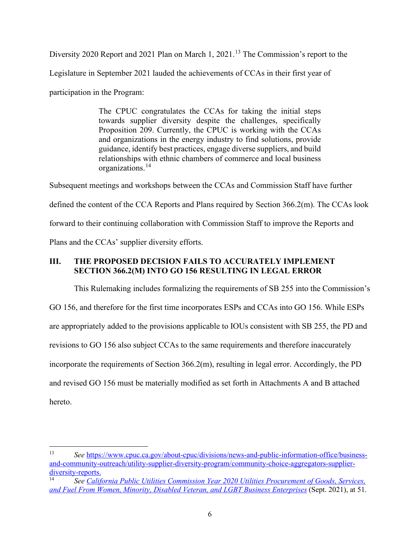Diversity 2020 Report and 2021 Plan on March 1, 2021.<sup>[13](#page-9-1)</sup> The Commission's report to the

Legislature in September 2021 lauded the achievements of CCAs in their first year of

participation in the Program:

The CPUC congratulates the CCAs for taking the initial steps towards supplier diversity despite the challenges, specifically Proposition 209. Currently, the CPUC is working with the CCAs and organizations in the energy industry to find solutions, provide guidance, identify best practices, engage diverse suppliers, and build relationships with ethnic chambers of commerce and local business organizations.[14](#page-9-2)

Subsequent meetings and workshops between the CCAs and Commission Staff have further defined the content of the CCA Reports and Plans required by Section 366.2(m). The CCAs look forward to their continuing collaboration with Commission Staff to improve the Reports and Plans and the CCAs' supplier diversity efforts.

# <span id="page-9-0"></span>**III. THE PROPOSED DECISION FAILS TO ACCURATELY IMPLEMENT SECTION 366.2(M) INTO GO 156 RESULTING IN LEGAL ERROR**

This Rulemaking includes formalizing the requirements of SB 255 into the Commission's GO 156, and therefore for the first time incorporates ESPs and CCAs into GO 156. While ESPs are appropriately added to the provisions applicable to IOUs consistent with SB 255, the PD and revisions to GO 156 also subject CCAs to the same requirements and therefore inaccurately incorporate the requirements of Section 366.2(m), resulting in legal error. Accordingly, the PD and revised GO 156 must be materially modified as set forth in Attachments A and B attached hereto.

<span id="page-9-1"></span><sup>13</sup> *See* [https://www.cpuc.ca.gov/about-cpuc/divisions/news-and-public-information-office/business](https://www.cpuc.ca.gov/about-cpuc/divisions/news-and-public-information-office/business-and-community-outreach/utility-supplier-diversity-program/community-choice-aggregators-supplier-diversity-reports)[and-community-outreach/utility-supplier-diversity-program/community-choice-aggregators-supplier-](https://www.cpuc.ca.gov/about-cpuc/divisions/news-and-public-information-office/business-and-community-outreach/utility-supplier-diversity-program/community-choice-aggregators-supplier-diversity-reports) $\frac{\text{diversity- reports.}}{\text{See Calif}}$ 

<span id="page-9-2"></span><sup>14</sup> *See [California Public Utilities Commission Year 2020 Utilities Procurement of Goods, Services,](https://www.cpuc.ca.gov/-/media/cpuc-website/divisions/news-and-outreach/documents/bco/go-156-annual-reports/2021-annual-report-to-the-leg-on-utilities-2020-procurement-go-156.pdf)  [and Fuel From Women, Minority, Disabled Veteran, and LGBT Business Enterprises](https://www.cpuc.ca.gov/-/media/cpuc-website/divisions/news-and-outreach/documents/bco/go-156-annual-reports/2021-annual-report-to-the-leg-on-utilities-2020-procurement-go-156.pdf)* (Sept. 2021), at 51.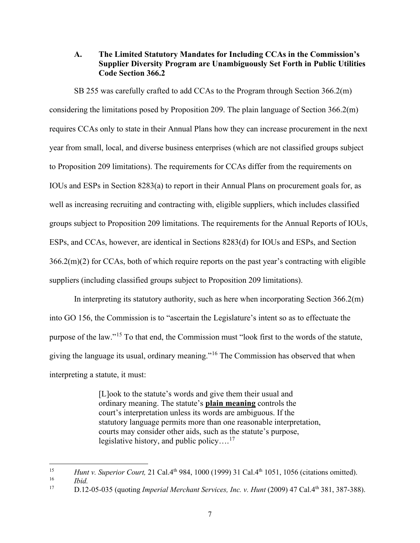# <span id="page-10-0"></span>**A. The Limited Statutory Mandates for Including CCAs in the Commission's Supplier Diversity Program are Unambiguously Set Forth in Public Utilities Code Section 366.2**

SB 255 was carefully crafted to add CCAs to the Program through Section 366.2(m) considering the limitations posed by Proposition 209. The plain language of Section 366.2(m) requires CCAs only to state in their Annual Plans how they can increase procurement in the next year from small, local, and diverse business enterprises (which are not classified groups subject to Proposition 209 limitations). The requirements for CCAs differ from the requirements on IOUs and ESPs in Section 8283(a) to report in their Annual Plans on procurement goals for, as well as increasing recruiting and contracting with, eligible suppliers, which includes classified groups subject to Proposition 209 limitations. The requirements for the Annual Reports of IOUs, ESPs, and CCAs, however, are identical in Sections 8283(d) for IOUs and ESPs, and Section 366.2(m)(2) for CCAs, both of which require reports on the past year's contracting with eligible suppliers (including classified groups subject to Proposition 209 limitations).

In interpreting its statutory authority, such as here when incorporating Section 366.2(m) into GO 156, the Commission is to "ascertain the Legislature's intent so as to effectuate the purpose of the law."[15](#page-10-1) To that end, the Commission must "look first to the words of the statute, giving the language its usual, ordinary meaning."[16](#page-10-2) The Commission has observed that when interpreting a statute, it must:

> [L]ook to the statute's words and give them their usual and ordinary meaning. The statute's **plain meaning** controls the court's interpretation unless its words are ambiguous. If the statutory language permits more than one reasonable interpretation, courts may consider other aids, such as the statute's purpose, legislative history, and public policy....<sup>[17](#page-10-3)</sup>

<span id="page-10-1"></span><sup>&</sup>lt;sup>15</sup> *Hunt v. Superior Court,* 21 Cal.4<sup>th</sup> 984, 1000 (1999) 31 Cal.4<sup>th</sup> 1051, 1056 (citations omitted).

<span id="page-10-2"></span> $\frac{16}{17}$  *Ibid.* 

<span id="page-10-3"></span><sup>17</sup> D.12-05-035 (quoting *Imperial Merchant Services, Inc. v. Hunt* (2009) 47 Cal.4th 381, 387-388).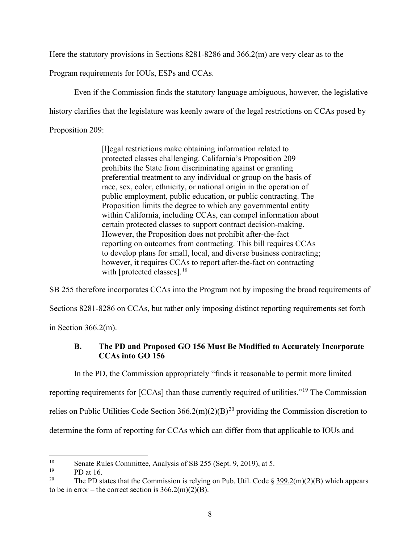Here the statutory provisions in Sections 8281-8286 and 366.2(m) are very clear as to the

Program requirements for IOUs, ESPs and CCAs.

Even if the Commission finds the statutory language ambiguous, however, the legislative

history clarifies that the legislature was keenly aware of the legal restrictions on CCAs posed by

Proposition 209:

[l]egal restrictions make obtaining information related to protected classes challenging. California's Proposition 209 prohibits the State from discriminating against or granting preferential treatment to any individual or group on the basis of race, sex, color, ethnicity, or national origin in the operation of public employment, public education, or public contracting. The Proposition limits the degree to which any governmental entity within California, including CCAs, can compel information about certain protected classes to support contract decision-making. However, the Proposition does not prohibit after-the-fact reporting on outcomes from contracting. This bill requires CCAs to develop plans for small, local, and diverse business contracting; however, it requires CCAs to report after-the-fact on contracting with [protected classes]. $18$ 

SB 255 therefore incorporates CCAs into the Program not by imposing the broad requirements of

Sections 8281-8286 on CCAs, but rather only imposing distinct reporting requirements set forth

<span id="page-11-0"></span>in Section 366.2(m).

# **B. The PD and Proposed GO 156 Must Be Modified to Accurately Incorporate CCAs into GO 156**

In the PD, the Commission appropriately "finds it reasonable to permit more limited reporting requirements for [CCAs] than those currently required of utilities."<sup>[19](#page-11-2)</sup> The Commission relies on Public Utilities Code Section  $366.2(m)(2)(B)^{20}$  providing the Commission discretion to determine the form of reporting for CCAs which can differ from that applicable to IOUs and

<span id="page-11-1"></span><sup>&</sup>lt;sup>18</sup><br>
<sup>18</sup> Senate Rules Committee, Analysis of SB 255 (Sept. 9, 2019), at 5.<br>
<sup>19</sup> PD at 16.<br>
<sup>20</sup> The PD at the Commission is relying on Pub. LItil Code 8.

<span id="page-11-2"></span>

<span id="page-11-3"></span>The PD states that the Commission is relying on Pub. Util. Code  $\S 399.2(m)(2)(B)$  which appears to be in error – the correct section is  $366.2(m)(2)(B)$ .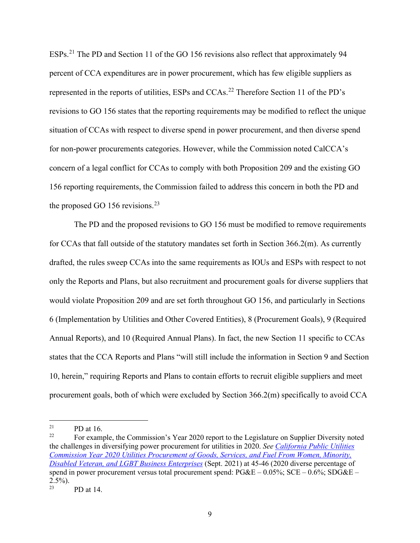ESPs.[21](#page-12-0) The PD and Section 11 of the GO 156 revisions also reflect that approximately 94 percent of CCA expenditures are in power procurement, which has few eligible suppliers as represented in the reports of utilities, ESPs and CCAs.<sup>[22](#page-12-1)</sup> Therefore Section 11 of the PD's revisions to GO 156 states that the reporting requirements may be modified to reflect the unique situation of CCAs with respect to diverse spend in power procurement, and then diverse spend for non-power procurements categories. However, while the Commission noted CalCCA's concern of a legal conflict for CCAs to comply with both Proposition 209 and the existing GO 156 reporting requirements, the Commission failed to address this concern in both the PD and the proposed GO 156 revisions.<sup>[23](#page-12-2)</sup>

The PD and the proposed revisions to GO 156 must be modified to remove requirements for CCAs that fall outside of the statutory mandates set forth in Section 366.2(m). As currently drafted, the rules sweep CCAs into the same requirements as IOUs and ESPs with respect to not only the Reports and Plans, but also recruitment and procurement goals for diverse suppliers that would violate Proposition 209 and are set forth throughout GO 156, and particularly in Sections 6 (Implementation by Utilities and Other Covered Entities), 8 (Procurement Goals), 9 (Required Annual Reports), and 10 (Required Annual Plans). In fact, the new Section 11 specific to CCAs states that the CCA Reports and Plans "will still include the information in Section 9 and Section 10, herein," requiring Reports and Plans to contain efforts to recruit eligible suppliers and meet procurement goals, both of which were excluded by Section 366.2(m) specifically to avoid CCA

<span id="page-12-0"></span><sup>&</sup>lt;sup>21</sup> PD at 16.<br><sup>22</sup> Equipment

<span id="page-12-1"></span><sup>22</sup> For example, the Commission's Year 2020 report to the Legislature on Supplier Diversity noted the challenges in diversifying power procurement for utilities in 2020. *See [California Public Utilities](https://www.cpuc.ca.gov/-/media/cpuc-website/divisions/news-and-outreach/documents/bco/go-156-annual-reports/2021-annual-report-to-the-leg-on-utilities-2020-procurement-go-156.pdf)  [Commission Year 2020 Utilities Procurement of Goods, Services, and Fuel From Women, Minority,](https://www.cpuc.ca.gov/-/media/cpuc-website/divisions/news-and-outreach/documents/bco/go-156-annual-reports/2021-annual-report-to-the-leg-on-utilities-2020-procurement-go-156.pdf)  [Disabled Veteran, and LGBT Business Enterprises](https://www.cpuc.ca.gov/-/media/cpuc-website/divisions/news-and-outreach/documents/bco/go-156-annual-reports/2021-annual-report-to-the-leg-on-utilities-2020-procurement-go-156.pdf)* (Sept. 2021) at 45-46 (2020 diverse percentage of spend in power procurement versus total procurement spend:  $PG&E - 0.05\%$ ;  $SCE - 0.6\%$ ;  $SDG&E 2.5\%$ ).

<span id="page-12-2"></span>PD at 14.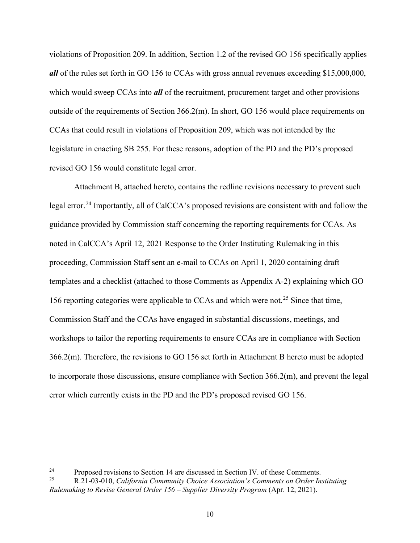violations of Proposition 209. In addition, Section 1.2 of the revised GO 156 specifically applies *all* of the rules set forth in GO 156 to CCAs with gross annual revenues exceeding \$15,000,000, which would sweep CCAs into *all* of the recruitment, procurement target and other provisions outside of the requirements of Section 366.2(m). In short, GO 156 would place requirements on CCAs that could result in violations of Proposition 209, which was not intended by the legislature in enacting SB 255. For these reasons, adoption of the PD and the PD's proposed revised GO 156 would constitute legal error.

Attachment B, attached hereto, contains the redline revisions necessary to prevent such legal error.<sup>[24](#page-13-0)</sup> Importantly, all of CalCCA's proposed revisions are consistent with and follow the guidance provided by Commission staff concerning the reporting requirements for CCAs. As noted in CalCCA's April 12, 2021 Response to the Order Instituting Rulemaking in this proceeding, Commission Staff sent an e-mail to CCAs on April 1, 2020 containing draft templates and a checklist (attached to those Comments as Appendix A-2) explaining which GO 156 reporting categories were applicable to CCAs and which were not.<sup>[25](#page-13-1)</sup> Since that time, Commission Staff and the CCAs have engaged in substantial discussions, meetings, and workshops to tailor the reporting requirements to ensure CCAs are in compliance with Section 366.2(m). Therefore, the revisions to GO 156 set forth in Attachment B hereto must be adopted to incorporate those discussions, ensure compliance with Section 366.2(m), and prevent the legal error which currently exists in the PD and the PD's proposed revised GO 156.

<span id="page-13-0"></span><sup>24</sup> Proposed revisions to Section 14 are discussed in Section IV. of these Comments. 25 R.21-03-010, *California Community Choice Association's Comments on Order Instituting* 

<span id="page-13-1"></span>*Rulemaking to Revise General Order 156 – Supplier Diversity Program* (Apr. 12, 2021).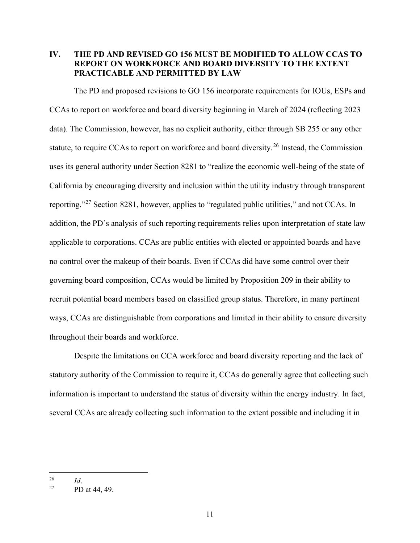# <span id="page-14-0"></span>**IV. THE PD AND REVISED GO 156 MUST BE MODIFIED TO ALLOW CCAS TO REPORT ON WORKFORCE AND BOARD DIVERSITY TO THE EXTENT PRACTICABLE AND PERMITTED BY LAW**

The PD and proposed revisions to GO 156 incorporate requirements for IOUs, ESPs and CCAs to report on workforce and board diversity beginning in March of 2024 (reflecting 2023 data). The Commission, however, has no explicit authority, either through SB 255 or any other statute, to require CCAs to report on workforce and board diversity.<sup>26</sup> Instead, the Commission uses its general authority under Section 8281 to "realize the economic well-being of the state of California by encouraging diversity and inclusion within the utility industry through transparent reporting."[27](#page-14-2) Section 8281, however, applies to "regulated public utilities," and not CCAs. In addition, the PD's analysis of such reporting requirements relies upon interpretation of state law applicable to corporations. CCAs are public entities with elected or appointed boards and have no control over the makeup of their boards. Even if CCAs did have some control over their governing board composition, CCAs would be limited by Proposition 209 in their ability to recruit potential board members based on classified group status. Therefore, in many pertinent ways, CCAs are distinguishable from corporations and limited in their ability to ensure diversity throughout their boards and workforce.

Despite the limitations on CCA workforce and board diversity reporting and the lack of statutory authority of the Commission to require it, CCAs do generally agree that collecting such information is important to understand the status of diversity within the energy industry. In fact, several CCAs are already collecting such information to the extent possible and including it in

<span id="page-14-2"></span><span id="page-14-1"></span><sup>&</sup>lt;sup>26</sup> *Id.* **PD** at 44, 49.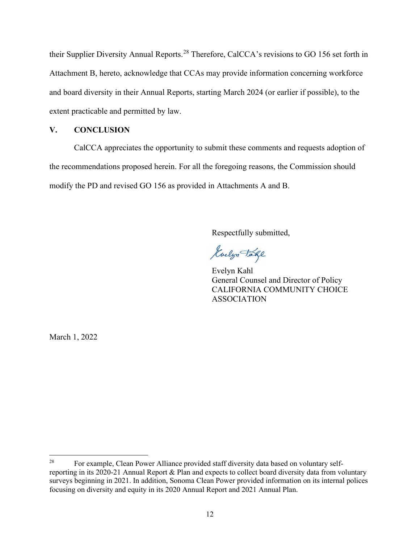their Supplier Diversity Annual Reports.<sup>[28](#page-15-1)</sup> Therefore, CalCCA's revisions to GO 156 set forth in Attachment B, hereto, acknowledge that CCAs may provide information concerning workforce and board diversity in their Annual Reports, starting March 2024 (or earlier if possible), to the extent practicable and permitted by law.

# <span id="page-15-0"></span>**V. CONCLUSION**

CalCCA appreciates the opportunity to submit these comments and requests adoption of the recommendations proposed herein. For all the foregoing reasons, the Commission should modify the PD and revised GO 156 as provided in Attachments A and B.

Respectfully submitted,

Golyn Take

Evelyn Kahl General Counsel and Director of Policy CALIFORNIA COMMUNITY CHOICE ASSOCIATION

March 1, 2022

<span id="page-15-1"></span><sup>&</sup>lt;sup>28</sup> For example, Clean Power Alliance provided staff diversity data based on voluntary selfreporting in its 2020-21 Annual Report & Plan and expects to collect board diversity data from voluntary surveys beginning in 2021. In addition, Sonoma Clean Power provided information on its internal polices focusing on diversity and equity in its 2020 Annual Report and 2021 Annual Plan.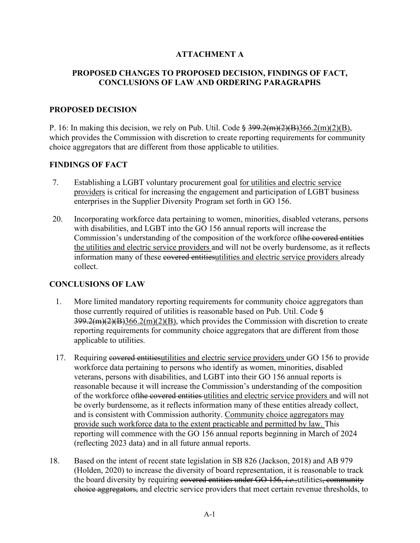# **ATTACHMENT A**

# **PROPOSED CHANGES TO PROPOSED DECISION, FINDINGS OF FACT, CONCLUSIONS OF LAW AND ORDERING PARAGRAPHS**

# **PROPOSED DECISION**

P. 16: In making this decision, we rely on Pub. Util. Code  $\S 399.2(m)(2)(B)366.2(m)(2)(B)$ , which provides the Commission with discretion to create reporting requirements for community choice aggregators that are different from those applicable to utilities.

# **FINDINGS OF FACT**

- 7. Establishing a LGBT voluntary procurement goal for utilities and electric service providers is critical for increasing the engagement and participation of LGBT business enterprises in the Supplier Diversity Program set forth in GO 156.
- 20. Incorporating workforce data pertaining to women, minorities, disabled veterans, persons with disabilities, and LGBT into the GO 156 annual reports will increase the Commission's understanding of the composition of the workforce ofthe covered entities the utilities and electric service providers and will not be overly burdensome, as it reflects information many of these covered entitiesutilities and electric service providers already collect.

# **CONCLUSIONS OF LAW**

- 1. More limited mandatory reporting requirements for community choice aggregators than those currently required of utilities is reasonable based on Pub. Util. Code §  $399.2(m)(2)(B)366.2(m)(2)(B)$ , which provides the Commission with discretion to create reporting requirements for community choice aggregators that are different from those applicable to utilities.
- 17. Requiring covered entities utilities and electric service providers under GO 156 to provide workforce data pertaining to persons who identify as women, minorities, disabled veterans, persons with disabilities, and LGBT into their GO 156 annual reports is reasonable because it will increase the Commission's understanding of the composition of the workforce ofthe covered entities utilities and electric service providers and will not be overly burdensome, as it reflects information many of these entities already collect, and is consistent with Commission authority. Community choice aggregators may provide such workforce data to the extent practicable and permitted by law. This reporting will commence with the GO 156 annual reports beginning in March of 2024 (reflecting 2023 data) and in all future annual reports.
- 18. Based on the intent of recent state legislation in SB 826 (Jackson, 2018) and AB 979 (Holden, 2020) to increase the diversity of board representation, it is reasonable to track the board diversity by requiring covered entities under GO 156, *i.e.,*utilities, community choice aggregators, and electric service providers that meet certain revenue thresholds, to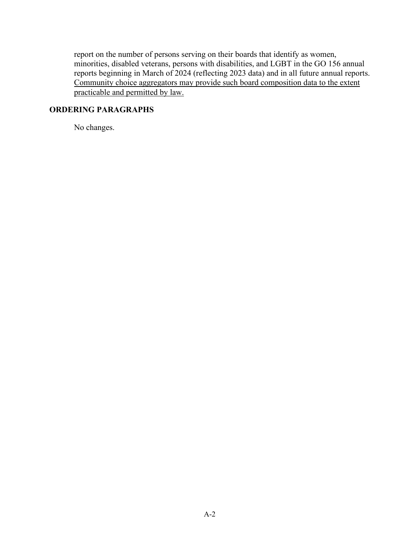report on the number of persons serving on their boards that identify as women, minorities, disabled veterans, persons with disabilities, and LGBT in the GO 156 annual reports beginning in March of 2024 (reflecting 2023 data) and in all future annual reports. Community choice aggregators may provide such board composition data to the extent practicable and permitted by law.

# **ORDERING PARAGRAPHS**

No changes.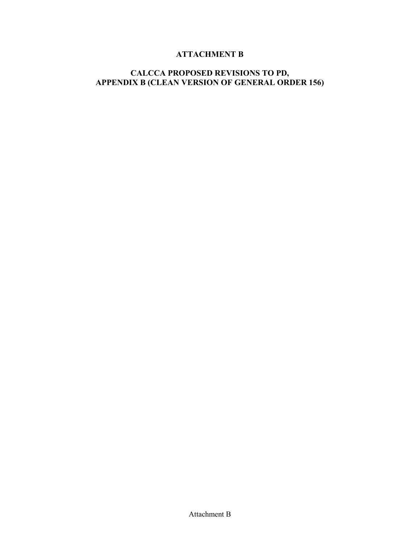# **ATTACHMENT B**

# **CALCCA PROPOSED REVISIONS TO PD, APPENDIX B (CLEAN VERSION OF GENERAL ORDER 156)**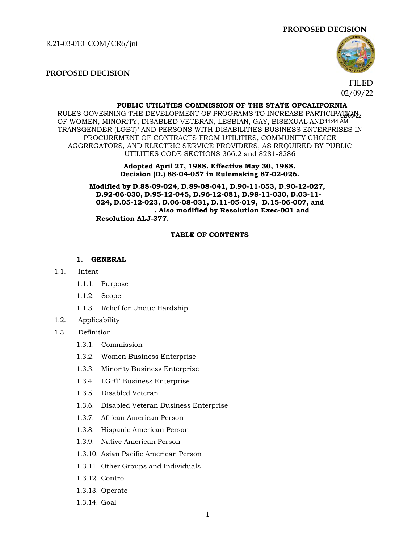R.21-03-010 COM/CR6/jnf





#### **PROPOSED DECISION**

FILED 02/09/22

#### **PUBLIC UTILITIES COMMISSION OF THE STATE OFCALIFORNIA**

RULES GOVERNING THE DEVELOPMENT OF PROGRAMS TO INCREASE PARTICIPAEIOPLE OF WOMEN, MINORITY, DISABLED VETERAN, LESBIAN, GAY, BISEXUAL AND11:44 AM TRANSGENDER (LGBT)' AND PERSONS WITH DISABILITIES BUSINESS ENTERPRISES IN PROCUREMENT OF CONTRACTS FROM UTILITIES, COMMUNITY CHOICE AGGREGATORS, AND ELECTRIC SERVICE PROVIDERS, AS REQUIRED BY PUBLIC UTILITIES CODE SECTIONS 366.2 and 8281-8286

> **Adopted April 27, 1988. Effective May 30, 1988. Decision (D.) 88-04-057 in Rulemaking 87-02-026.**

**Modified by D.88-09-024, D.89-08-041, D.90-11-053, D.90-12-027, D.92-06-030, D.95-12-045, D.96-12-081, D.98-11-030, D.03-11- 024, D.05-12-023, D.06-08-031, D.11-05-019, D.15-06-007, and . Also modified by Resolution Exec-001 and Resolution ALJ-377.**

#### **TABLE OF CONTENTS**

#### **1. GENERAL**

#### 1.1. Intent

- 1.1.1. Purpose
- 1.1.2. Scope
- 1.1.3. Relief for Undue Hardship
- 1.2. Applicability
- 1.3. Definition
	- 1.3.1. Commission
	- 1.3.2. Women Business Enterprise
	- 1.3.3. Minority Business Enterprise
	- 1.3.4. LGBT Business Enterprise
	- 1.3.5. Disabled Veteran
	- 1.3.6. Disabled Veteran Business Enterprise
	- 1.3.7. African American Person
	- 1.3.8. Hispanic American Person
	- 1.3.9. Native American Person
	- 1.3.10. Asian Pacific American Person
	- 1.3.11. Other Groups and Individuals
	- 1.3.12. Control
	- 1.3.13. Operate
	- 1.3.14. Goal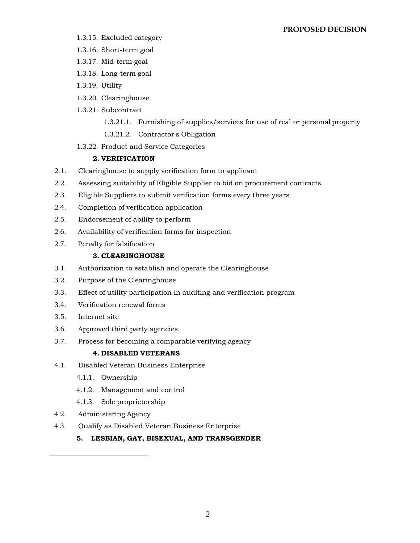#### **PROPOSED DECISION**

- 1.3.15. Excluded category
- 1.3.16. Short-term goal
- 1.3.17. Mid-term goal
- 1.3.18. Long-term goal
- 1.3.19. Utility
- 1.3.20. Clearinghouse
- 1.3.21. Subcontract
	- 1.3.21.1. Furnishing of supplies/services for use of real or personal property
	- 1.3.21.2. Contractor's Obligation
- 1.3.22. Product and Service Categories

# **2. VERIFICATION**

- 2.1. Clearinghouse to supply verification form to applicant
- 2.2. Assessing suitability of Eligible Supplier to bid on procurement contracts
- 2.3. Eligible Suppliers to submit verification forms every three years
- 2.4. Completion of verification application
- 2.5. Endorsement of ability to perform
- 2.6. Availability of verification forms for inspection
- 2.7. Penalty for falsification

### **3. CLEARINGHOUSE**

- 3.1. Authorization to establish and operate the Clearinghouse
- 3.2. Purpose of the Clearinghouse
- 3.3. Effect of utility participation in auditing and verification program
- 3.4. Verification renewal forms
- 3.5. Internet site
- 3.6. Approved third party agencies
- 3.7. Process for becoming a comparable verifying agency

#### **4. DISABLED VETERANS**

- 4.1. Disabled Veteran Business Enterprise
	- 4.1.1. Ownership
	- 4.1.2. Management and control
	- 4.1.3. Sole proprietorship
- 4.2. Administering Agency
- 4.3. Qualify as Disabled Veteran Business Enterprise
	- **5. LESBIAN, GAY, BISEXUAL, AND TRANSGENDER**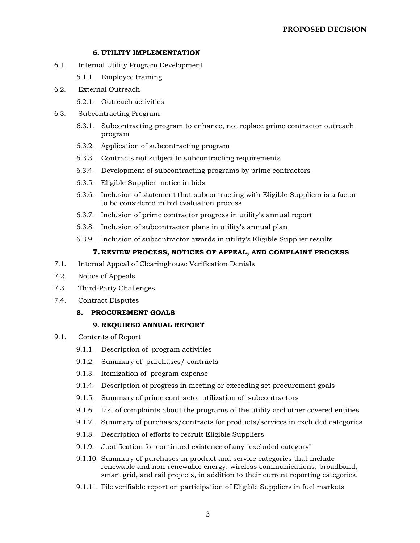#### **6. UTILITY IMPLEMENTATION**

- 6.1. Internal Utility Program Development
	- 6.1.1. Employee training
- 6.2. External Outreach
	- 6.2.1. Outreach activities
- 6.3. Subcontracting Program
	- 6.3.1. Subcontracting program to enhance, not replace prime contractor outreach program
	- 6.3.2. Application of subcontracting program
	- 6.3.3. Contracts not subject to subcontracting requirements
	- 6.3.4. Development of subcontracting programs by prime contractors
	- 6.3.5. Eligible Supplier notice in bids
	- 6.3.6. Inclusion of statement that subcontracting with Eligible Suppliers is a factor to be considered in bid evaluation process
	- 6.3.7. Inclusion of prime contractor progress in utility's annual report
	- 6.3.8. Inclusion of subcontractor plans in utility's annual plan
	- 6.3.9. Inclusion of subcontractor awards in utility's Eligible Supplier results

#### **7. REVIEW PROCESS, NOTICES OF APPEAL, AND COMPLAINT PROCESS**

- 7.1. Internal Appeal of Clearinghouse Verification Denials
- 7.2. Notice of Appeals
- 7.3. Third-Party Challenges
- 7.4. Contract Disputes
	- **8. PROCUREMENT GOALS**

#### **9. REQUIRED ANNUAL REPORT**

- 9.1. Contents of Report
	- 9.1.1. Description of program activities
	- 9.1.2. Summary of purchases/ contracts
	- 9.1.3. Itemization of program expense
	- 9.1.4. Description of progress in meeting or exceeding set procurement goals
	- 9.1.5. Summary of prime contractor utilization of subcontractors
	- 9.1.6. List of complaints about the programs of the utility and other covered entities
	- 9.1.7. Summary of purchases/contracts for products/services in excluded categories
	- 9.1.8. Description of efforts to recruit Eligible Suppliers
	- 9.1.9. Justification for continued existence of any "excluded category"
	- 9.1.10. Summary of purchases in product and service categories that include renewable and non-renewable energy, wireless communications, broadband, smart grid, and rail projects, in addition to their current reporting categories.
	- 9.1.11. File verifiable report on participation of Eligible Suppliers in fuel markets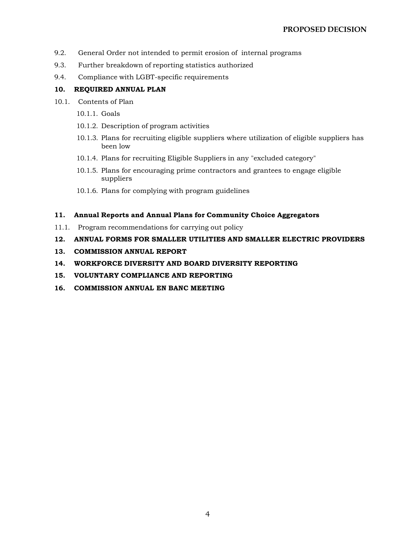- 9.2. General Order not intended to permit erosion of internal programs
- 9.3. Further breakdown of reporting statistics authorized
- 9.4. Compliance with LGBT-specific requirements

### **10. REQUIRED ANNUAL PLAN**

- 10.1. Contents of Plan
	- 10.1.1. Goals
	- 10.1.2. Description of program activities
	- 10.1.3. Plans for recruiting eligible suppliers where utilization of eligible suppliers has been low
	- 10.1.4. Plans for recruiting Eligible Suppliers in any "excluded category"
	- 10.1.5. Plans for encouraging prime contractors and grantees to engage eligible suppliers
	- 10.1.6. Plans for complying with program guidelines

#### **11. Annual Reports and Annual Plans for Community Choice Aggregators**

- 11.1. Program recommendations for carrying out policy
- **12. ANNUAL FORMS FOR SMALLER UTILITIES AND SMALLER ELECTRIC PROVIDERS**
- **13. COMMISSION ANNUAL REPORT**
- **14. WORKFORCE DIVERSITY AND BOARD DIVERSITY REPORTING**
- **15. VOLUNTARY COMPLIANCE AND REPORTING**
- **16. COMMISSION ANNUAL EN BANC MEETING**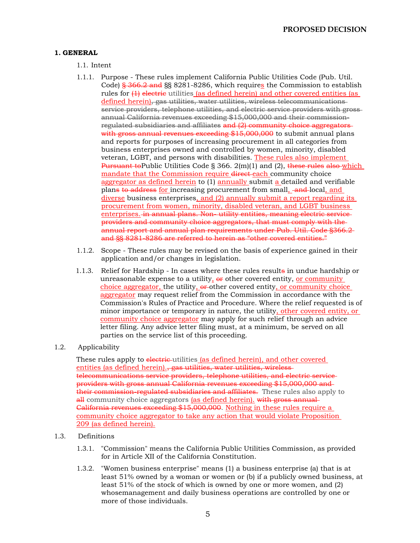### **1. GENERAL**

1.1. Intent

- 1.1.1. Purpose These rules implement California Public Utilities Code (Pub. Util. Code) § 366.2 and §§ 8281-8286, which requires the Commission to establish rules for  $\{1\}$  electric utilities (as defined herein) and other covered entities (as defined herein), gas utilities, water utilities, wireless telecommunications service providers, telephone utilities, and electric service providers with grossannual California revenues exceeding \$15,000,000 and their commissionregulated subsidiaries and affiliates and (2) community choice aggregators with gross annual revenues exceeding \$15,000,000 to submit annual plans and reports for purposes of increasing procurement in all categories from business enterprises owned and controlled by women, minority, disabled veteran, LGBT, and persons with disabilities. These rules also implement Pursuant to Public Utilities Code § 366. 2(m)(1) and (2), these rules also which mandate that the Commission require direct each community choice aggregator as defined herein to (1) annually submit a detailed and verifiable plans to address for increasing procurement from small, and local, and diverse business enterprises, and (2) annually submit a report regarding its procurement from women, minority, disabled veteran, and LGBT business enterprises. in annual plans. Non-utility entities, meaning electric serviceproviders and community choice aggregators, that must comply with the annual report and annual plan requirements under Pub. Util. Code §366.2 and §§ 8281-8286 are referred to herein as "other covered entities."
- 1.1.2. Scope These rules may be revised on the basis of experience gained in their application and/or changes in legislation.
- 1.1.3. Relief for Hardship In cases where these rules results in undue hardship or unreasonable expense to a utility,  $\theta$  other covered entity, or community choice aggregator, the utility, or other covered entity, or community choice aggregator may request relief from the Commission in accordance with the Commission's Rules of Practice and Procedure. Where the relief requested is of minor importance or temporary in nature, the utility, other covered entity, or community choice aggregator may apply for such relief through an advice letter filing. Any advice letter filing must, at a minimum, be served on all parties on the service list of this proceeding.
- 1.2. Applicability

These rules apply to electric-utilities (as defined herein), and other covered entities (as defined herein).<del>, gas utilities, water utilities, wireless</del> telecommunications service providers, telephone utilities, and electric service providers with gross annual California revenues exceeding \$15,000,000 and their commission-regulated subsidiaries and affiliates. These rules also apply to all community choice aggregators (as defined herein). with gross annual-California revenues exceeding \$15,000,000. Nothing in these rules require a community choice aggregator to take any action that would violate Proposition 209 (as defined herein).

- 1.3. Definitions
	- 1.3.1. "Commission" means the California Public Utilities Commission, as provided for in Article XII of the California Constitution.
	- 1.3.2. "Women business enterprise" means (1) a business enterprise (a) that is at least 51% owned by a woman or women or (b) if a publicly owned business, at least 51% of the stock of which is owned by one or more women, and (2) whosemanagement and daily business operations are controlled by one or more of those individuals.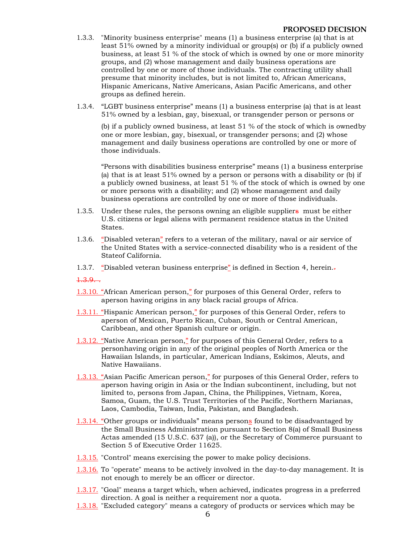- 1.3.3. "Minority business enterprise" means (1) a business enterprise (a) that is at least 51% owned by a minority individual or group(s) or (b) if a publicly owned business, at least 51 % of the stock of which is owned by one or more minority groups, and (2) whose management and daily business operations are controlled by one or more of those individuals. The contracting utility shall presume that minority includes, but is not limited to, African Americans, Hispanic Americans, Native Americans, Asian Pacific Americans, and other groups as defined herein.
- 1.3.4. "LGBT business enterprise" means (1) a business enterprise (a) that is at least 51% owned by a lesbian, gay, bisexual, or transgender person or persons or

(b) if a publicly owned business, at least 51 % of the stock of which is ownedby one or more lesbian, gay, bisexual, or transgender persons; and (2) whose management and daily business operations are controlled by one or more of those individuals.

"Persons with disabilities business enterprise" means (1) a business enterprise (a) that is at least  $51\%$  owned by a person or persons with a disability or (b) if a publicly owned business, at least 51 % of the stock of which is owned by one or more persons with a disability; and (2) whose management and daily business operations are controlled by one or more of those individuals.

- 1.3.5. Under these rules, the persons owning an eligible suppliers must be either U.S. citizens or legal aliens with permanent residence status in the United States.
- 1.3.6. "Disabled veteran" refers to a veteran of the military, naval or air service of the United States with a service-connected disability who is a resident of the Stateof California.
- 1.3.7. "Disabled veteran business enterprise" is defined in Section 4, herein. $\overline{z}$
- $1.3.9...$
- 1.3.10. "African American person," for purposes of this General Order, refers to a person having origins in any black racial groups of Africa.
- 1.3.11. "Hispanic American person," for purposes of this General Order, refers to a person of Mexican, Puerto Rican, Cuban, South or Central American, Caribbean, and other Spanish culture or origin.
- 1.3.12. "Native American person," for purposes of this General Order, refers to a personhaving origin in any of the original peoples of North America or the Hawaiian Islands, in particular, American Indians, Eskimos, Aleuts, and Native Hawaiians.
- 1.3.13. "Asian Pacific American person," for purposes of this General Order, refers to a person having origin in Asia or the Indian subcontinent, including, but not limited to, persons from Japan, China, the Philippines, Vietnam, Korea, Samoa, Guam, the U.S. Trust Territories of the Pacific, Northern Marianas, Laos, Cambodia, Taiwan, India, Pakistan, and Bangladesh.
- 1.3.14. "Other groups or individuals" means persons found to be disadvantaged by the Small Business Administration pursuant to Section 8(a) of Small Business Actas amended (15 U.S.C. 637 (a)), or the Secretary of Commerce pursuant to Section 5 of Executive Order 11625.
- 1.3.15. "Control" means exercising the power to make policy decisions.
- 1.3.16. To "operate" means to be actively involved in the day-to-day management. It is not enough to merely be an officer or director.
- 1.3.17. "Goal" means a target which, when achieved, indicates progress in a preferred direction. A goal is neither a requirement nor a quota.
- 1.3.18. "Excluded category" means a category of products or services which may be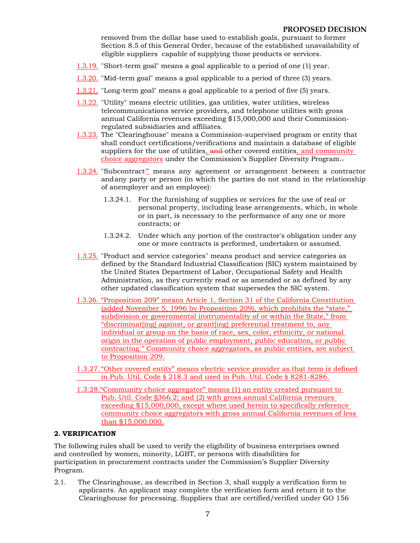removed from the dollar base used to establish goals, pursuant to former Section 8.5 of this General Order, because of the established unavailability of eligible suppliers capable of supplying those products or services.

- 1.3.19. "Short-term goal" means a goal applicable to a period of one (1) year.
- 1.3.20. "Mid-term goal" means a goal applicable to a period of three (3) years.
- 1.3.21. "Long-term goal" means a goal applicable to a period of five (5) years.
- 1.3.22. "Utility" means electric utilities, gas utilities, water utilities, wireless telecommunications service providers, and telephone utilities with gross annual California revenues exceeding \$15,000,000 and their Commissionregulated subsidiaries and affiliates.
- 1.3.23. The "Clearinghouse" means a Commission-supervised program or entity that shall conduct certifications/verifications and maintain a database of eligible suppliers for the use of utilities, and other covered entities, and community choice aggregators under the Commission's Supplier Diversity Program..
- 1.3.24. "Subcontract'" means any agreement or arrangement between a contractor andany party or person (in which the parties do not stand in the relationship of anemployer and an employee):
	- 1.3.24.1. For the furnishing of supplies or services for the use of real or personal property, including lease arrangements, which, in whole or in part, is necessary to the performance of any one or more contracts; or
	- 1.3.24.2. Under which any portion of the contractor's obligation under any one or more contracts is performed, undertaken or assumed.
- 1.3.25. "Product and service categories" means product and service categories as defined by the Standard Industrial Classification (SIC) system maintained by the United States Department of Labor, Occupational Safety and Health Administration, as they currently read or as amended or as defined by any other updated classification system that supersedes the SIC system.
- 1.3.26. "Proposition 209" means Article 1, Section 31 of the California Constitution (added November 5, 1996 by Proposition 209), which prohibits the "state," subdivision or governmental instrumentality of or within the State," from "discriminat[ing] against, or grant[ing] preferential treatment to, any individual or group on the basis of race, sex, color, ethnicity, or national origin in the operation of public employment, public education, or public contracting." Community choice aggregators, as public entities, are subject to Proposition 209.
- 1.3.27. "Other covered entity" means electric service provider as that term is defined in Pub. Util. Code § 218.3 and used in Pub. Util. Code § 8281-8286.
- 1.3.28."Community choice aggregator" means (1) an entity created pursuant to Pub. Util. Code §366.2; and (2) with gross annual California revenues exceeding \$15,000,000, except where used herein to specifically reference community choice aggregators with gross annual California revenues of less than \$15,000,000.

### **2. VERIFICATION**

The following rules shall be used to verify the eligibility of business enterprises owned and controlled by women, minority, LGBT, or persons with disabilities for participation in procurement contracts under the Commission's Supplier Diversity Program.

2.1. The Clearinghouse, as described in Section 3, shall supply a verification form to applicants. An applicant may complete the verification form and return it to the Clearinghouse for processing. Suppliers that are certified/verified under GO 156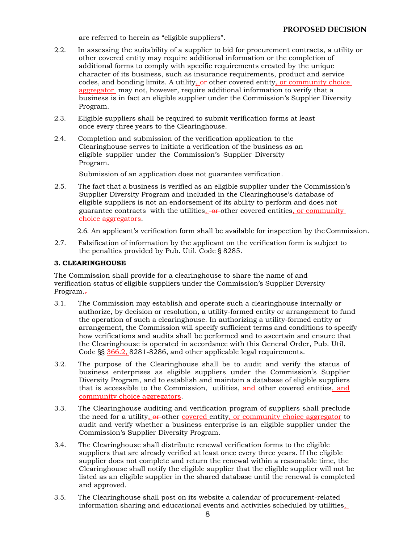are referred to herein as "eligible suppliers".

- 2.2. In assessing the suitability of a supplier to bid for procurement contracts, a utility or other covered entity may require additional information or the completion of additional forms to comply with specific requirements created by the unique character of its business, such as insurance requirements, product and service codes, and bonding limits. A utility,  $\theta$  other covered entity, or community choice aggregator may not, however, require additional information to verify that a business is in fact an eligible supplier under the Commission's Supplier Diversity Program.
- 2.3. Eligible suppliers shall be required to submit verification forms at least once every three years to the Clearinghouse.
- 2.4. Completion and submission of the verification application to the Clearinghouse serves to initiate a verification of the business as an eligible supplier under the Commission's Supplier Diversity Program.

Submission of an application does not guarantee verification.

2.5. The fact that a business is verified as an eligible supplier under the Commission's Supplier Diversity Program and included in the Clearinghouse's database of eligible suppliers is not an endorsement of its ability to perform and does not guarantee contracts with the utilities, or other covered entities, or community choice aggregators.

2.6. An applicant's verification form shall be available for inspection by the Commission.

2.7. Falsification of information by the applicant on the verification form is subject to the penalties provided by Pub. Util. Code § 8285.

#### **3. CLEARINGHOUSE**

The Commission shall provide for a clearinghouse to share the name of and verification status of eligible suppliers under the Commission's Supplier Diversity Program.-

- 3.1. The Commission may establish and operate such a clearinghouse internally or authorize, by decision or resolution, a utility-formed entity or arrangement to fund the operation of such a clearinghouse. In authorizing a utility-formed entity or arrangement, the Commission will specify sufficient terms and conditions to specify how verifications and audits shall be performed and to ascertain and ensure that the Clearinghouse is operated in accordance with this General Order, Pub. Util. Code §§ 366.2, 8281-8286, and other applicable legal requirements.
- 3.2. The purpose of the Clearinghouse shall be to audit and verify the status of business enterprises as eligible suppliers under the Commission's Supplier Diversity Program, and to establish and maintain a database of eligible suppliers that is accessible to the Commission, utilities, and other covered entities, and community choice aggregators.
- 3.3. The Clearinghouse auditing and verification program of suppliers shall preclude the need for a utility, or other covered entity, or community choice aggregator to audit and verify whether a business enterprise is an eligible supplier under the Commission's Supplier Diversity Program.
- 3.4. The Clearinghouse shall distribute renewal verification forms to the eligible suppliers that are already verified at least once every three years. If the eligible supplier does not complete and return the renewal within a reasonable time, the Clearinghouse shall notify the eligible supplier that the eligible supplier will not be listed as an eligible supplier in the shared database until the renewal is completed and approved.
- 3.5. The Clearinghouse shall post on its website a calendar of procurement-related information sharing and educational events and activities scheduled by utilities,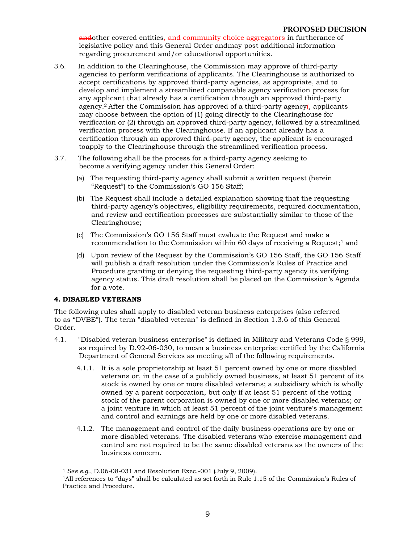andother covered entities, and community choice aggregators in furtherance of legislative policy and this General Order andmay post additional information regarding procurement and/or educational opportunities.

- 3.6. In addition to the Clearinghouse, the Commission may approve of third-party agencies to perform verifications of applicants. The Clearinghouse is authorized to accept certifications by approved third-party agencies, as appropriate, and to develop and implement a streamlined comparable agency verification process for any applicant that already has a certification through an approved third-party agency.<sup>2</sup> After the Commission has approved of a third-party agency. applicants may choose between the option of (1) going directly to the Clearinghouse for verification or (2) through an approved third-party agency, followed by a streamlined verification process with the Clearinghouse. If an applicant already has a certification through an approved third-party agency, the applicant is encouraged toapply to the Clearinghouse through the streamlined verification process.
- 3.7. The following shall be the process for a third-party agency seeking to become a verifying agency under this General Order:
	- (a) The requesting third-party agency shall submit a written request (herein "Request") to the Commission's GO 156 Staff;
	- (b) The Request shall include a detailed explanation showing that the requesting third-party agency's objectives, eligibility requirements, required documentation, and review and certification processes are substantially similar to those of the Clearinghouse;
	- (c) The Commission's GO 156 Staff must evaluate the Request and make a recommendation to the Commission within 60 days of receiving a Request:<sup>1</sup> and
	- (d) Upon review of the Request by the Commission's GO 156 Staff, the GO 156 Staff will publish a draft resolution under the Commission's Rules of Practice and Procedure granting or denying the requesting third-party agency its verifying agency status. This draft resolution shall be placed on the Commission's Agenda for a vote.

#### **4. DISABLED VETERANS**

The following rules shall apply to disabled veteran business enterprises (also referred to as "DVBE"). The term "disabled veteran" is defined in Section 1.3.6 of this General Order.

- 4.1. "Disabled veteran business enterprise" is defined in Military and Veterans Code § 999, as required by D.92-06-030, to mean a business enterprise certified by the California Department of General Services as meeting all of the following requirements.
	- 4.1.1. It is a sole proprietorship at least 51 percent owned by one or more disabled veterans or, in the case of a publicly owned business, at least 51 percent of its stock is owned by one or more disabled veterans; a subsidiary which is wholly owned by a parent corporation, but only if at least 51 percent of the voting stock of the parent corporation is owned by one or more disabled veterans; or a joint venture in which at least 51 percent of the joint venture's management and control and earnings are held by one or more disabled veterans.
	- 4.1.2. The management and control of the daily business operations are by one or more disabled veterans. The disabled veterans who exercise management and control are not required to be the same disabled veterans as the owners of the business concern.

<sup>1</sup>*See e.g*., D.06-08-031 and Resolution Exec.-001 (July 9, 2009).

<sup>1</sup>All references to "days" shall be calculated as set forth in Rule 1.15 of the Commission's Rules of Practice and Procedure.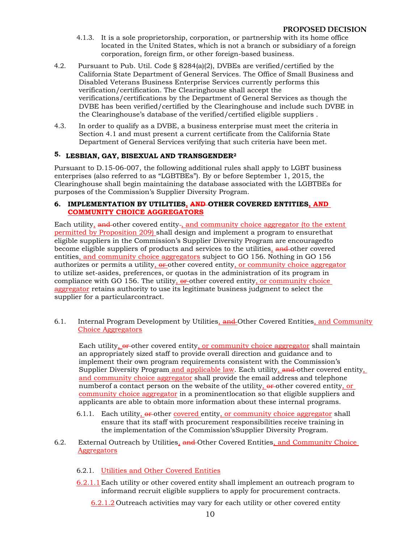- 4.1.3. It is a sole proprietorship, corporation, or partnership with its home office located in the United States, which is not a branch or subsidiary of a foreign corporation, foreign firm, or other foreign-based business.
- 4.2. Pursuant to Pub. Util. Code § 8284(a)(2), DVBEs are verified/certified by the California State Department of General Services. The Office of Small Business and Disabled Veterans Business Enterprise Services currently performs this verification/certification. The Clearinghouse shall accept the verifications/certifications by the Department of General Services as though the DVBE has been verified/certified by the Clearinghouse and include such DVBE in the Clearinghouse's database of the verified/certified eligible suppliers .
- 4.3. In order to qualify as a DVBE, a business enterprise must meet the criteria in Section 4.1 and must present a current certificate from the California State Department of General Services verifying that such criteria have been met.

# **5. LESBIAN, GAY, BISEXUAL AND TRANSGENDER2**

Pursuant to D.15-06-007, the following additional rules shall apply to LGBT business enterprises (also referred to as "LGBTBEs"). By or before September 1, 2015, the Clearinghouse shall begin maintaining the database associated with the LGBTBEs for purposes of the Commission's Supplier Diversity Program.

#### **6. IMPLEMENTATION BY UTILITIES, AND OTHER COVERED ENTITIES, AND COMMUNITY CHOICE AGGREGATORS**

Each utility, and other covered entity-, and community choice aggregator (to the extent permitted by Proposition 209) shall design and implement a program to ensurethat eligible suppliers in the Commission's Supplier Diversity Program are encouragedto become eligible suppliers of products and services to the utilities, and other covered entities, and community choice aggregators subject to GO 156. Nothing in GO 156 authorizes or permits a utility,  $\theta$  other covered entity, or community choice aggregator to utilize set-asides, preferences, or quotas in the administration of its program in compliance with GO 156. The utility,  $\theta$  other covered entity, or community choice aggregator retains authority to use its legitimate business judgment to select the supplier for a particularcontract.

6.1. Internal Program Development by Utilities, and Other Covered Entities, and Community Choice Aggregators

Each utility,  $\theta$  other covered entity, or community choice aggregator shall maintain an appropriately sized staff to provide overall direction and guidance and to implement their own program requirements consistent with the Commission's Supplier Diversity Program and applicable law. Each utility, and other covered entity, and community choice aggregator shall provide the email address and telephone numberof a contact person on the website of the utility,  $\theta$ -other covered entity, or community choice aggregator in a prominentlocation so that eligible suppliers and applicants are able to obtain more information about these internal programs.

- 6.1.1. Each utility,  $\theta$  other covered entity, or community choice aggregator shall ensure that its staff with procurement responsibilities receive training in the implementation of the Commission'sSupplier Diversity Program.
- 6.2. External Outreach by Utilities, and Other Covered Entities, and Community Choice Aggregators
	- 6.2.1. Utilities and Other Covered Entities
	- 6.2.1.1Each utility or other covered entity shall implement an outreach program to informand recruit eligible suppliers to apply for procurement contracts.

6.2.1.2 Outreach activities may vary for each utility or other covered entity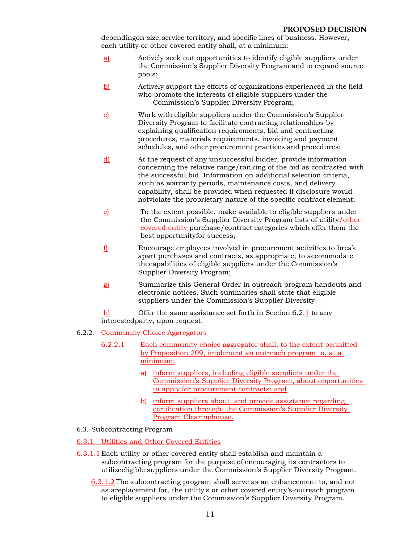dependingon size, service territory, and specific lines of business. However, each utility or other covered entity shall, at a minimum:

- a) Actively seek out opportunities to identify eligible suppliers under the Commission's Supplier Diversity Program and to expand source pools;
- b) Actively support the efforts of organizations experienced in the field who promote the interests of eligible suppliers under the Commission's Supplier Diversity Program;
- c) Work with eligible suppliers under the Commission's Supplier Diversity Program to facilitate contracting relationships by explaining qualification requirements, bid and contracting procedures, materials requirements, invoicing and payment schedules, and other procurement practices and procedures;
- d) At the request of any unsuccessful bidder, provide information concerning the relative range/ranking of the bid as contrasted with the successful bid. Information on additional selection criteria, such as warranty periods, maintenance costs, and delivery capability, shall be provided when requested if disclosure would notviolate the proprietary nature of the specific contract element;
- e) To the extent possible, make available to eligible suppliers under the Commission's Supplier Diversity Program lists of utility/other covered entity purchase/contract categories which offer them the best opportunityfor success;
- f) Encourage employees involved in procurement activities to break apart purchases and contracts, as appropriate, to accommodate thecapabilities of eligible suppliers under the Commission's Supplier Diversity Program;
- g) Summarize this General Order in outreach program handouts and electronic notices. Such summaries shall state that eligible suppliers under the Commission's Supplier Diversity
- $h$  Offer the same assistance set forth in Section 6.2.1 to any interestedparty, upon request.
- 6.2.2. Community Choice Aggregators
	- 6.2.2.1 Each community choice aggregator shall, to the extent permitted by Proposition 209, implement an outreach program to, at a minimum:
		- a) inform suppliers, including eligible suppliers under the Commission's Supplier Diversity Program, about opportunities to apply for procurement contracts; and
		- b) inform suppliers about, and provide assistance regarding, certification through, the Commission's Supplier Diversity Program Clearinghouse.

#### 6.3. Subcontracting Program

6.3.1 Utilities and Other Covered Entities

- 6.3.1.1 Each utility or other covered entity shall establish and maintain a subcontracting program for the purpose of encouraging its contractors to utilizeeligible suppliers under the Commission's Supplier Diversity Program.
	- 6.3.1.2 The subcontracting program shall serve as an enhancement to, and not as a replacement for, the utility's or other covered entity's-outreach program to eligible suppliers under the Commission's Supplier Diversity Program.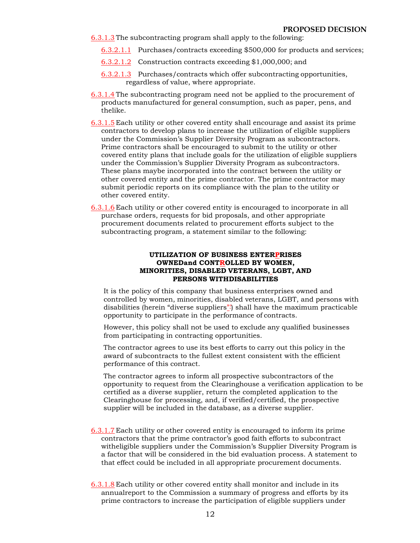6.3.1.3 The subcontracting program shall apply to the following:

- 6.3.2.1.1 Purchases/contracts exceeding \$500,000 for products and services;
- 6.3.2.1.2 Construction contracts exceeding \$1,000,000; and
- 6.3.2.1.3 Purchases/contracts which offer subcontracting opportunities, regardless of value, where appropriate.
- 6.3.1.4 The subcontracting program need not be applied to the procurement of products manufactured for general consumption, such as paper, pens, and thelike.
- 6.3.1.5 Each utility or other covered entity shall encourage and assist its prime contractors to develop plans to increase the utilization of eligible suppliers under the Commission's Supplier Diversity Program as subcontractors. Prime contractors shall be encouraged to submit to the utility or other covered entity plans that include goals for the utilization of eligible suppliers under the Commission's Supplier Diversity Program as subcontractors. These plans maybe incorporated into the contract between the utility or other covered entity and the prime contractor. The prime contractor may submit periodic reports on its compliance with the plan to the utility or other covered entity.
- 6.3.1.6 Each utility or other covered entity is encouraged to incorporate in all purchase orders, requests for bid proposals, and other appropriate procurement documents related to procurement efforts subject to the subcontracting program, a statement similar to the following:

#### **UTILIZATION OF BUSINESS ENTERPRISES OWNEDand CONTROLLED BY WOMEN, MINORITIES, DISABLED VETERANS, LGBT, AND PERSONS WITHDISABILITIES**

It is the policy of this company that business enterprises owned and controlled by women, minorities, disabled veterans, LGBT, and persons with disabilities (herein "diverse suppliers") shall have the maximum practicable opportunity to participate in the performance of contracts.

However, this policy shall not be used to exclude any qualified businesses from participating in contracting opportunities.

The contractor agrees to use its best efforts to carry out this policy in the award of subcontracts to the fullest extent consistent with the efficient performance of this contract.

The contractor agrees to inform all prospective subcontractors of the opportunity to request from the Clearinghouse a verification application to be certified as a diverse supplier, return the completed application to the Clearinghouse for processing, and, if verified/certified, the prospective supplier will be included in the database, as a diverse supplier.

- 6.3.1.7 Each utility or other covered entity is encouraged to inform its prime contractors that the prime contractor's good faith efforts to subcontract witheligible suppliers under the Commission's Supplier Diversity Program is a factor that will be considered in the bid evaluation process. A statement to that effect could be included in all appropriate procurement documents.
- 6.3.1.8 Each utility or other covered entity shall monitor and include in its annualreport to the Commission a summary of progress and efforts by its prime contractors to increase the participation of eligible suppliers under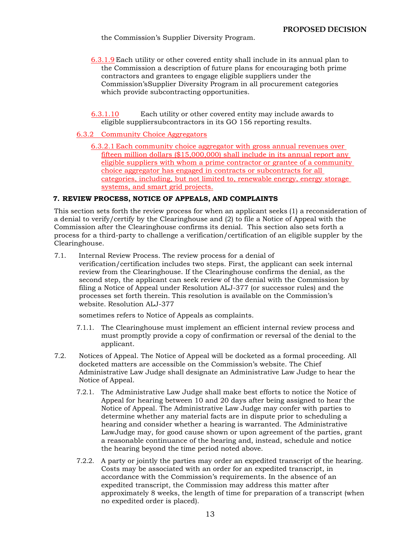the Commission's Supplier Diversity Program.

- 6.3.1.9 Each utility or other covered entity shall include in its annual plan to the Commission a description of future plans for encouraging both prime contractors and grantees to engage eligible suppliers under the Commission's Supplier Diversity Program in all procurement categories which provide subcontracting opportunities.
- 6.3.1.10 Each utility or other covered entity may include awards to eligible suppliersubcontractors in its GO 156 reporting results.
- 6.3.2 Community Choice Aggregators
	- 6.3.2.1 Each community choice aggregator with gross annual revenues over fifteen million dollars (\$15,000,000) shall include in its annual report any eligible suppliers with whom a prime contractor or grantee of a community choice aggregator has engaged in contracts or subcontracts for all categories, including, but not limited to, renewable energy, energy storage systems, and smart grid projects.

#### **7. REVIEW PROCESS, NOTICE OF APPEALS, AND COMPLAINTS**

This section sets forth the review process for when an applicant seeks (1) a reconsideration of a denial to verify/certify by the Clearinghouse and (2) to file a Notice of Appeal with the Commission after the Clearinghouse confirms its denial. This section also sets forth a process for a third-party to challenge a verification/certification of an eligible suppler by the Clearinghouse.

7.1. Internal Review Process. The review process for a denial of verification/certification includes two steps. First, the applicant can seek internal review from the Clearinghouse. If the Clearinghouse confirms the denial, as the second step, the applicant can seek review of the denial with the Commission by filing a Notice of Appeal under Resolution ALJ-377 (or successor rules) and the processes set forth therein. This resolution is available on the Commission's website. Resolution ALJ-377

sometimes refers to Notice of Appeals as complaints.

- 7.1.1. The Clearinghouse must implement an efficient internal review process and must promptly provide a copy of confirmation or reversal of the denial to the applicant.
- 7.2. Notices of Appeal. The Notice of Appeal will be docketed as a formal proceeding. All docketed matters are accessible on the Commission's website. The Chief Administrative Law Judge shall designate an Administrative Law Judge to hear the Notice of Appeal.
	- 7.2.1. The Administrative Law Judge shall make best efforts to notice the Notice of Appeal for hearing between 10 and 20 days after being assigned to hear the Notice of Appeal. The Administrative Law Judge may confer with parties to determine whether any material facts are in dispute prior to scheduling a hearing and consider whether a hearing is warranted. The Administrative LawJudge may, for good cause shown or upon agreement of the parties, grant a reasonable continuance of the hearing and, instead, schedule and notice the hearing beyond the time period noted above.
	- 7.2.2. A party or jointly the parties may order an expedited transcript of the hearing. Costs may be associated with an order for an expedited transcript, in accordance with the Commission's requirements. In the absence of an expedited transcript, the Commission may address this matter after approximately 8 weeks, the length of time for preparation of a transcript (when no expedited order is placed).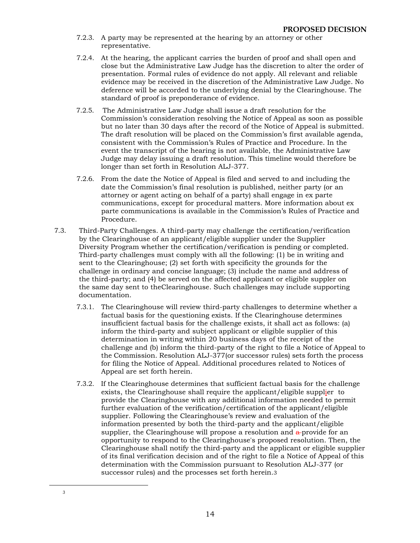- 7.2.3. A party may be represented at the hearing by an attorney or other representative.
- 7.2.4. At the hearing, the applicant carries the burden of proof and shall open and close but the Administrative Law Judge has the discretion to alter the order of presentation. Formal rules of evidence do not apply. All relevant and reliable evidence may be received in the discretion of the Administrative Law Judge. No deference will be accorded to the underlying denial by the Clearinghouse. The standard of proof is preponderance of evidence.
- 7.2.5. The Administrative Law Judge shall issue a draft resolution for the Commission's consideration resolving the Notice of Appeal as soon as possible but no later than 30 days after the record of the Notice of Appeal is submitted. The draft resolution will be placed on the Commission's first available agenda, consistent with the Commission's Rules of Practice and Procedure. In the event the transcript of the hearing is not available, the Administrative Law Judge may delay issuing a draft resolution. This timeline would therefore be longer than set forth in Resolution ALJ-377.
- 7.2.6. From the date the Notice of Appeal is filed and served to and including the date the Commission's final resolution is published, neither party (or an attorney or agent acting on behalf of a party) shall engage in ex parte communications, except for procedural matters. More information about ex parte communications is available in the Commission's Rules of Practice and Procedure.
- 7.3. Third-Party Challenges. A third-party may challenge the certification/verification by the Clearinghouse of an applicant/eligible supplier under the Supplier Diversity Program whether the certification/verification is pending or completed. Third-party challenges must comply with all the following: (1) be in writing and sent to the Clearinghouse; (2) set forth with specificity the grounds for the challenge in ordinary and concise language; (3) include the name and address of the third-party; and (4) be served on the affected applicant or eligible suppler on the same day sent to theClearinghouse. Such challenges may include supporting documentation.
	- 7.3.1. The Clearinghouse will review third-party challenges to determine whether a factual basis for the questioning exists. If the Clearinghouse determines insufficient factual basis for the challenge exists, it shall act as follows: (a) inform the third-party and subject applicant or eligible supplier of this determination in writing within 20 business days of the receipt of the challenge and (b) inform the third-party of the right to file a Notice of Appeal to the Commission. Resolution ALJ-377(or successor rules) sets forth the process for filing the Notice of Appeal. Additional procedures related to Notices of Appeal are set forth herein.
	- 7.3.2. If the Clearinghouse determines that sufficient factual basis for the challenge exists, the Clearinghouse shall require the applicant/eligible supplier to provide the Clearinghouse with any additional information needed to permit further evaluation of the verification/certification of the applicant/eligible supplier. Following the Clearinghouse's review and evaluation of the information presented by both the third-party and the applicant/eligible supplier, the Clearinghouse will propose a resolution and  $a$ -provide for an opportunity to respond to the Clearinghouse's proposed resolution. Then, the Clearinghouse shall notify the third-party and the applicant or eligible supplier of its final verification decision and of the right to file a Notice of Appeal of this determination with the Commission pursuant to Resolution ALJ-377 (or successor rules) and the processes set forth herein.3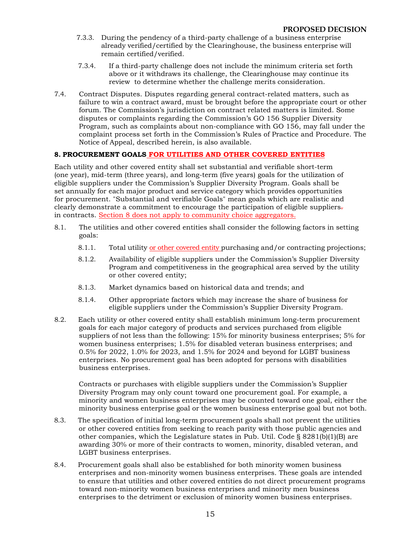- 7.3.3. During the pendency of a third-party challenge of a business enterprise already verified/certified by the Clearinghouse, the business enterprise will remain certified/verified.
- 7.3.4. If a third-party challenge does not include the minimum criteria set forth above or it withdraws its challenge, the Clearinghouse may continue its review to determine whether the challenge merits consideration.
- 7.4. Contract Disputes. Disputes regarding general contract-related matters, such as failure to win a contract award, must be brought before the appropriate court or other forum. The Commission's jurisdiction on contract related matters is limited. Some disputes or complaints regarding the Commission's GO 156 Supplier Diversity Program, such as complaints about non-compliance with GO 156, may fall under the complaint process set forth in the Commission's Rules of Practice and Procedure. The Notice of Appeal, described herein, is also available.

### **8. PROCUREMENT GOALS FOR UTILITIES AND OTHER COVERED ENTITIES**

Each utility and other covered entity shall set substantial and verifiable short-term (one year), mid-term (three years), and long-term (five years) goals for the utilization of eligible suppliers under the Commission's Supplier Diversity Program. Goals shall be set annually for each major product and service category which provides opportunities for procurement. "Substantial and verifiable Goals" mean goals which are realistic and clearly demonstrate a commitment to encourage the participation of eligible suppliers. in contracts. Section 8 does not apply to community choice aggregators.

- 8.1. The utilities and other covered entities shall consider the following factors in setting goals:
	- 8.1.1. Total utility or other covered entity purchasing and/or contracting projections;
	- 8.1.2. Availability of eligible suppliers under the Commission's Supplier Diversity Program and competitiveness in the geographical area served by the utility or other covered entity;
	- 8.1.3. Market dynamics based on historical data and trends; and
	- 8.1.4. Other appropriate factors which may increase the share of business for eligible suppliers under the Commission's Supplier Diversity Program.
- 8.2. Each utility or other covered entity shall establish minimum long-term procurement goals for each major category of products and services purchased from eligible suppliers of not less than the following: 15% for minority business enterprises; 5% for women business enterprises; 1.5% for disabled veteran business enterprises; and 0.5% for 2022, 1.0% for 2023, and 1.5% for 2024 and beyond for LGBT business enterprises. No procurement goal has been adopted for persons with disabilities business enterprises.

Contracts or purchases with eligible suppliers under the Commission's Supplier Diversity Program may only count toward one procurement goal. For example, a minority and women business enterprises may be counted toward one goal, either the minority business enterprise goal or the women business enterprise goal but not both.

- 8.3. The specification of initial long-term procurement goals shall not prevent the utilities or other covered entities from seeking to reach parity with those public agencies and other companies, which the Legislature states in Pub. Util. Code § 8281(b)(1)(B) are awarding 30% or more of their contracts to women, minority, disabled veteran, and LGBT business enterprises.
- 8.4. Procurement goals shall also be established for both minority women business enterprises and non-minority women business enterprises. These goals are intended to ensure that utilities and other covered entities do not direct procurement programs toward non-minority women business enterprises and minority men business enterprises to the detriment or exclusion of minority women business enterprises.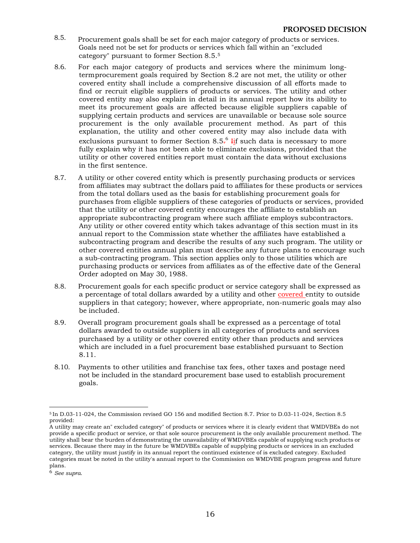- 8.5. Procurement goals shall be set for each major category of products or services. Goals need not be set for products or services which fall within an "excluded category" pursuant to former Section 8.5.5
- 8.6. For each major category of products and services where the minimum longtermprocurement goals required by Section 8.2 are not met, the utility or other covered entity shall include a comprehensive discussion of all efforts made to find or recruit eligible suppliers of products or services. The utility and other covered entity may also explain in detail in its annual report how its ability to meet its procurement goals are affected because eligible suppliers capable of supplying certain products and services are unavailable or because sole source procurement is the only available procurement method. As part of this explanation, the utility and other covered entity may also include data with exclusions pursuant to former Section 8.5<del>. <sup>6</sup> I<u>i</u>f</del> such data is necessary to more fully explain why it has not been able to eliminate exclusions, provided that the utility or other covered entities report must contain the data without exclusions in the first sentence.
- 8.7. A utility or other covered entity which is presently purchasing products or services from affiliates may subtract the dollars paid to affiliates for these products or services from the total dollars used as the basis for establishing procurement goals for purchases from eligible suppliers of these categories of products or services, provided that the utility or other covered entity encourages the affiliate to establish an appropriate subcontracting program where such affiliate employs subcontractors. Any utility or other covered entity which takes advantage of this section must in its annual report to the Commission state whether the affiliates have established a subcontracting program and describe the results of any such program. The utility or other covered entities annual plan must describe any future plans to encourage such a sub-contracting program. This section applies only to those utilities which are purchasing products or services from affiliates as of the effective date of the General Order adopted on May 30, 1988.
- 8.8. Procurement goals for each specific product or service category shall be expressed as a percentage of total dollars awarded by a utility and other covered entity to outside suppliers in that category; however, where appropriate, non-numeric goals may also be included.
- 8.9. Overall program procurement goals shall be expressed as a percentage of total dollars awarded to outside suppliers in all categories of products and services purchased by a utility or other covered entity other than products and services which are included in a fuel procurement base established pursuant to Section 8.11.
- 8.10. Payments to other utilities and franchise tax fees, other taxes and postage need not be included in the standard procurement base used to establish procurement goals.

<sup>5</sup> In D.03-11-024, the Commission revised GO 156 and modified Section 8.7. Prior to D.03-11-024, Section 8.5 provided:

A utility may create an" excluded category" of products or services where it is clearly evident that WMDVBEs do not provide a specific product or service, or that sole source procurement is the only available procurement method. The utility shall bear the burden of demonstrating the unavailability of WMDVBEs capable of supplying such products or services. Because there may in the future be WMDVBEs capable of supplying products or services in an excluded category, the utility must justify in its annual report the continued existence of is excluded category. Excluded categories must be noted in the utility's annual report to the Commission on WMDVBE program progress and future plans.

<sup>6</sup>*See supra*.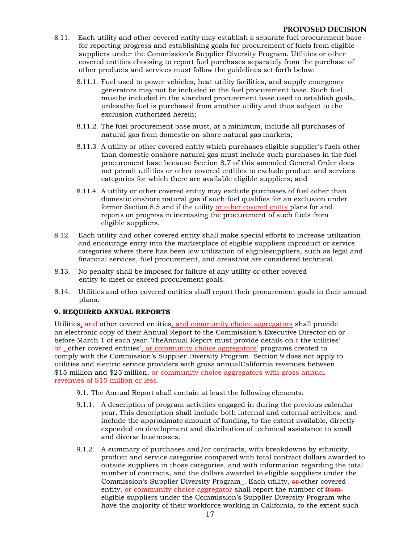- 8.11. Each utility and other covered entity may establish a separate fuel procurement base for reporting progress and establishing goals for procurement of fuels from eligible suppliers under the Commission's Supplier Diversity Program. Utilities or other covered entities choosing to report fuel purchases separately from the purchase of other products and services must follow the guidelines set forth below:
	- 8.11.1. Fuel used to power vehicles, heat utility facilities, and supply emergency generators may not be included in the fuel procurement base. Such fuel mustbe included in the standard procurement base used to establish goals, unlessthe fuel is purchased from another utility and thus subject to the exclusion authorized herein;
	- 8.11.2. The fuel procurement base must, at a minimum, include all purchases of natural gas from domestic on-shore natural gas markets;
	- 8.11.3. A utility or other covered entity which purchases eligible supplier's fuels other than domestic onshore natural gas must include such purchases in the fuel procurement base because Section 8.7 of this amended General Order does not permit utilities or other covered entities to exclude product and services categories for which there are available eligible suppliers; and
	- 8.11.4. A utility or other covered entity may exclude purchases of fuel other than domestic onshore natural gas if such fuel qualifies for an exclusion under former Section 8.5 and if the utility or other covered entity plans for and reports on progress in increasing the procurement of such fuels from eligible suppliers.
- 8.12. Each utility and other covered entity shall make special efforts to increase utilization and encourage entry into the marketplace of eligible suppliers inproduct or service categories where there has been low utilization of eligiblesuppliers, such as legal and financial services, fuel procurement, and areasthat are considered technical.
- 8.13. No penalty shall be imposed for failure of any utility or other covered entity to meet or exceed procurement goals.
- 8.14. Utilities and other covered entities shall report their procurement goals in their annual plans.

#### **9. REQUIRED ANNUAL REPORTS**

Utilities, and other covered entities, and community choice aggregators shall provide an electronic copy of their Annual Report to the Commission's Executive Director on or before March 1 of each year. The Annual Report must provide details on  $\epsilon$ -the utilities' or, other covered entities', or community choice aggregators' programs created to comply with the Commission's Supplier Diversity Program. Section 9 does not apply to utilities and electric service providers with gross annualCalifornia revenues between \$15 million and \$25 million, or community choice aggregators with gross annual revenues of \$15 million or less.

- 9.1. The Annual Report shall contain at least the following elements:
- 9.1.1. A description of program activities engaged in during the previous calendar year. This description shall include both internal and external activities, and include the approximate amount of funding, to the extent available, directly expended on development and distribution of technical assistance to small and diverse businesses.
- 9.1.2. A summary of purchases and/or contracts, with breakdowns by ethnicity, product and service categories compared with total contract dollars awarded to outside suppliers in those categories, and with information regarding the total number of contracts, and the dollars awarded to eligible suppliers under the Commission's Supplier Diversity Program. Each utility, or other covered entity, or community choice aggregator shall report the number of fromeligible suppliers under the Commission's Supplier Diversity Program who have the majority of their workforce working in California, to the extent such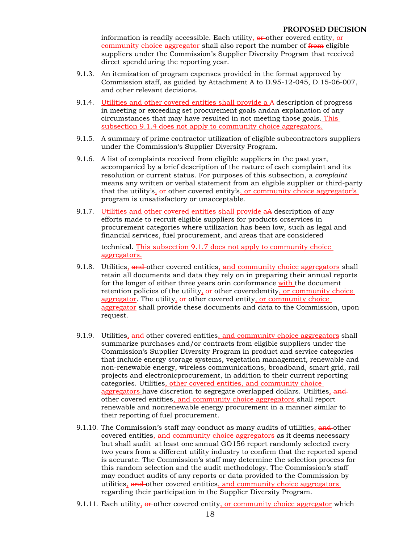information is readily accessible. Each utility,  $\theta$  other covered entity, or community choice aggregator shall also report the number of from eligible suppliers under the Commission's Supplier Diversity Program that received direct spendduring the reporting year.

- 9.1.3. An itemization of program expenses provided in the format approved by Commission staff, as guided by Attachment A to D.95-12-045, D.15-06-007, and other relevant decisions.
- 9.1.4. Utilities and other covered entities shall provide a A description of progress in meeting or exceeding set procurement goals andan explanation of any circumstances that may have resulted in not meeting those goals. This subsection 9.1.4 does not apply to community choice aggregators.
- 9.1.5. A summary of prime contractor utilization of eligible subcontractors suppliers under the Commission's Supplier Diversity Program.
- 9.1.6. A list of complaints received from eligible suppliers in the past year, accompanied by a brief description of the nature of each complaint and its resolution or current status. For purposes of this subsection, a *complaint* means any written or verbal statement from an eligible supplier or third-party that the utility's, or other covered entity's, or community choice aggregator's program is unsatisfactory or unacceptable.
- 9.1.7. Utilities and other covered entities shall provide aA description of any efforts made to recruit eligible suppliers for products orservices in procurement categories where utilization has been low, such as legal and financial services, fuel procurement, and areas that are considered

technical. This subsection 9.1.7 does not apply to community choice aggregators.

- 9.1.8. Utilities, and other covered entities, and community choice aggregators shall retain all documents and data they rely on in preparing their annual reports for the longer of either three years orin conformance with the document retention policies of the utility, or other coveredentity, or community choice aggregator. The utility,  $\theta$ -other covered entity, or community choice aggregator shall provide these documents and data to the Commission, upon request.
- 9.1.9. Utilities, and other covered entities, and community choice aggregators shall summarize purchases and/or contracts from eligible suppliers under the Commission's Supplier Diversity Program in product and service categories that include energy storage systems, vegetation management, renewable and non-renewable energy, wireless communications, broadband, smart grid, rail projects and electronicprocurement, in addition to their current reporting categories. Utilities, other covered entities, and community choice aggregators have discretion to segregate overlapped dollars. Utilities, and other covered entities, and community choice aggregators shall report renewable and nonrenewable energy procurement in a manner similar to their reporting of fuel procurement.
- 9.1.10. The Commission's staff may conduct as many audits of utilities, and other covered entities, and community choice aggregators as it deems necessary but shall audit at least one annual GO156 report randomly selected every two years from a different utility industry to confirm that the reported spend is accurate. The Commission's staff may determine the selection process for this random selection and the audit methodology. The Commission's staff may conduct audits of any reports or data provided to the Commission by utilities, and other covered entities, and community choice aggregators regarding their participation in the Supplier Diversity Program.
- 9.1.11. Each utility,  $\theta$  other covered entity, or community choice aggregator which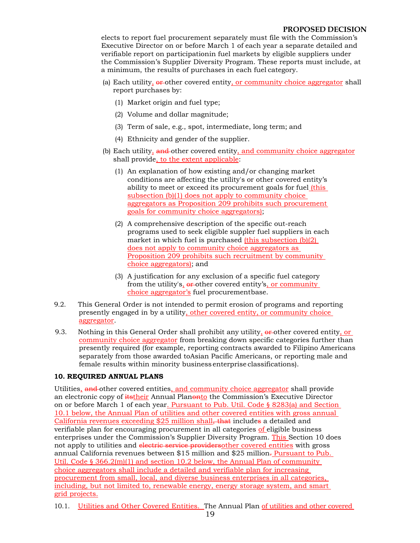elects to report fuel procurement separately must file with the Commission's Executive Director on or before March 1 of each year a separate detailed and verifiable report on participationin fuel markets by eligible suppliers under the Commission's Supplier Diversity Program. These reports must include, at a minimum, the results of purchases in each fuel category.

- (a) Each utility, or other covered entity, or community choice aggregator shall report purchases by:
	- (1) Market origin and fuel type;
	- (2) Volume and dollar magnitude;
	- (3) Term of sale, e.g., spot, intermediate, long term; and
	- (4) Ethnicity and gender of the supplier.
- (b) Each utility, and other covered entity, and community choice aggregator shall provide, to the extent applicable:
	- (1) An explanation of how existing and/or changing market conditions are affecting the utility's or other covered entity's ability to meet or exceed its procurement goals for fuel *(this* subsection (b)(1) does not apply to community choice aggregators as Proposition 209 prohibits such procurement goals for community choice aggregators);
	- (2) A comprehensive description of the specific out-reach programs used to seek eligible suppler fuel suppliers in each market in which fuel is purchased (this subsection (b)(2) does not apply to community choice aggregators as Proposition 209 prohibits such recruitment by community choice aggregators); and
	- (3) A justification for any exclusion of a specific fuel category from the utility's,  $\theta$  other covered entity's, or community choice aggregator's fuel procurementbase.
- 9.2. This General Order is not intended to permit erosion of programs and reporting presently engaged in by a utility, other covered entity, or community choice aggregator.
- 9.3. Nothing in this General Order shall prohibit any utility,  $\frac{\partial \mathbf{F}}{\partial t}$  other covered entity, or community choice aggregator from breaking down specific categories further than presently required (for example, reporting contracts awarded to Filipino Americans separately from those awarded toAsian Pacific Americans, or reporting male and female results within minority business enterprise classifications).

#### **10. REQUIRED ANNUAL PLANS**

Utilities, and other covered entities, and community choice aggregator shall provide an electronic copy of *itstheir* Annual Planonto the Commission's Executive Director on or before March 1 of each year. Pursuant to Pub. Util. Code § 8283(a) and Section 10.1 below, the Annual Plan of utilities and other covered entities with gross annual California revenues exceeding \$25 million shall, that includes a detailed and verifiable plan for encouraging procurement in all categories of eligible business enterprises under the Commission's Supplier Diversity Program. This Section 10 does not apply to utilities and electric service providersother covered entities with gross annual California revenues between \$15 million and \$25 million. Pursuant to Pub. Util. Code § 366.2(m)(1) and section 10.2 below, the Annual Plan of community choice aggregators shall include a detailed and verifiable plan for increasing procurement from small, local, and diverse business enterprises in all categories, including, but not limited to, renewable energy, energy storage system, and smart grid projects.

10.1. Utilities and Other Covered Entities. The Annual Plan of utilities and other covered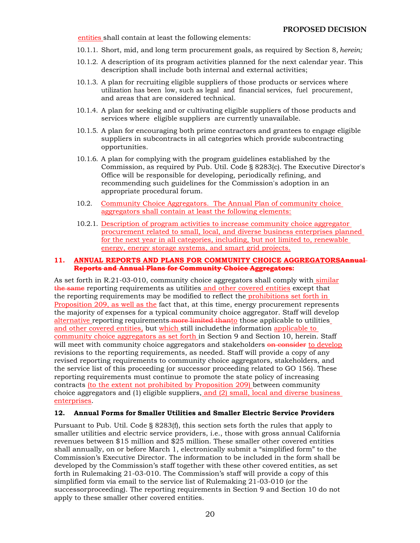entities shall contain at least the following elements:

- 10.1.1. Short, mid, and long term procurement goals, as required by Section 8*, herein;*
- 10.1.2. A description of its program activities planned for the next calendar year. This description shall include both internal and external activities;
- 10.1.3. A plan for recruiting eligible suppliers of those products or services where utilization has been low, such as legal and financial services, fuel procurement, and areas that are considered technical.
- 10.1.4. A plan for seeking and or cultivating eligible suppliers of those products and services where eligible suppliers are currently unavailable.
- 10.1.5. A plan for encouraging both prime contractors and grantees to engage eligible suppliers in subcontracts in all categories which provide subcontracting opportunities.
- 10.1.6. A plan for complying with the program guidelines established by the Commission, as required by Pub. Util. Code § 8283(c). The Executive Director's Office will be responsible for developing, periodically refining, and recommending such guidelines for the Commission's adoption in an appropriate procedural forum.
- 10.2. Community Choice Aggregators. The Annual Plan of community choice aggregators shall contain at least the following elements:
- 10.2.1. Description of program activities to increase community choice aggregator procurement related to small, local, and diverse business enterprises planned for the next year in all categories, including, but not limited to, renewable energy, energy storage systems, and smart grid projects.

#### **11. ANNUAL REPORTS AND PLANS FOR COMMUNITY CHOICE AGGREGATORSAnnual Reports and Annual Plans for Community Choice Aggregators:**

As set forth in R.21-03-010, community choice aggregators shall comply with similar the same reporting requirements as utilities and other covered entities except that the reporting requirements may be modified to reflect the prohibitions set forth in Proposition 209, as well as the fact that, at this time, energy procurement represents the majority of expenses for a typical community choice aggregator. Staff will develop alternative reporting requirements more limited thanto those applicable to utilities and other covered entities, but which still includethe information applicable to community choice aggregators as set forth in Section 9 and Section 10, herein. Staff will meet with community choice aggregators and stakeholders on consider to develop revisions to the reporting requirements, as needed. Staff will provide a copy of any revised reporting requirements to community choice aggregators, stakeholders, and the service list of this proceeding (or successor proceeding related to GO 156). These reporting requirements must continue to promote the state policy of increasing contracts (to the extent not prohibited by Proposition 209) between community choice aggregators and (1) eligible suppliers, and (2) small, local and diverse business enterprises.

#### **12. Annual Forms for Smaller Utilities and Smaller Electric Service Providers**

Pursuant to Pub. Util. Code § 8283(f), this section sets forth the rules that apply to smaller utilities and electric service providers, i.e., those with gross annual California revenues between \$15 million and \$25 million. These smaller other covered entities shall annually, on or before March 1, electronically submit a "simplified form" to the Commission's Executive Director. The information to be included in the form shall be developed by the Commission's staff together with these other covered entities, as set forth in Rulemaking 21-03-010. The Commission's staff will provide a copy of this simplified form via email to the service list of Rulemaking 21-03-010 (or the successorproceeding). The reporting requirements in Section 9 and Section 10 do not apply to these smaller other covered entities.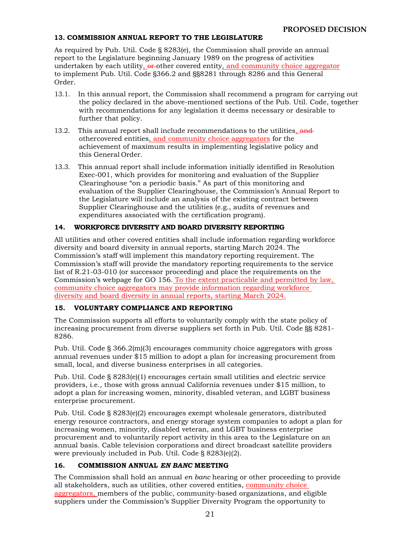#### **13. COMMISSION ANNUAL REPORT TO THE LEGISLATURE**

As required by Pub. Util. Code § 8283(e), the Commission shall provide an annual report to the Legislature beginning January 1989 on the progress of activities undertaken by each utility,  $\theta$ -other covered entity, and community choice aggregator to implement Pub. Util. Code §366.2 and §§8281 through 8286 and this General Order.

- 13.1. In this annual report, the Commission shall recommend a program for carrying out the policy declared in the above-mentioned sections of the Pub. Util. Code, together with recommendations for any legislation it deems necessary or desirable to further that policy.
- 13.2. This annual report shall include recommendations to the utilities, and othercovered entities, and community choice aggregators for the achievement of maximum results in implementing legislative policy and this General Order.
- 13.3. This annual report shall include information initially identified in Resolution Exec-001, which provides for monitoring and evaluation of the Supplier Clearinghouse "on a periodic basis." As part of this monitoring and evaluation of the Supplier Clearinghouse, the Commission's Annual Report to the Legislature will include an analysis of the existing contract between Supplier Clearinghouse and the utilities (e.g., audits of revenues and expenditures associated with the certification program).

### **14. WORKFORCE DIVERSITY AND BOARD DIVERSITY REPORTING**

All utilities and other covered entities shall include information regarding workforce diversity and board diversity in annual reports, starting March 2024. The Commission's staff will implement this mandatory reporting requirement. The Commission's staff will provide the mandatory reporting requirements to the service list of R.21-03-010 (or successor proceeding) and place the requirements on the Commission's webpage for GO 156. To the extent practicable and permitted by law, community choice aggregators may provide information regarding workforce diversity and board diversity in annual reports, starting March 2024.

#### **15. VOLUNTARY COMPLIANCE AND REPORTING**

The Commission supports all efforts to voluntarily comply with the state policy of increasing procurement from diverse suppliers set forth in Pub. Util. Code §§ 8281- 8286.

Pub. Util. Code § 366.2(m)(3) encourages community choice aggregators with gross annual revenues under \$15 million to adopt a plan for increasing procurement from small, local, and diverse business enterprises in all categories.

Pub. Util. Code § 8283(e)(1) encourages certain small utilities and electric service providers, i.e., those with gross annual California revenues under \$15 million, to adopt a plan for increasing women, minority, disabled veteran, and LGBT business enterprise procurement.

Pub. Util. Code § 8283(e)(2) encourages exempt wholesale generators, distributed energy resource contractors, and energy storage system companies to adopt a plan for increasing women, minority, disabled veteran, and LGBT business enterprise procurement and to voluntarily report activity in this area to the Legislature on an annual basis. Cable television corporations and direct broadcast satellite providers were previously included in Pub. Util. Code § 8283(e)(2).

#### **16. COMMISSION ANNUAL** *EN BANC* **MEETING**

The Commission shall hold an annual *en banc* hearing or other proceeding to provide all stakeholders, such as utilities, other covered entities, community choice aggregators, members of the public, community-based organizations, and eligible suppliers under the Commission's Supplier Diversity Program the opportunity to